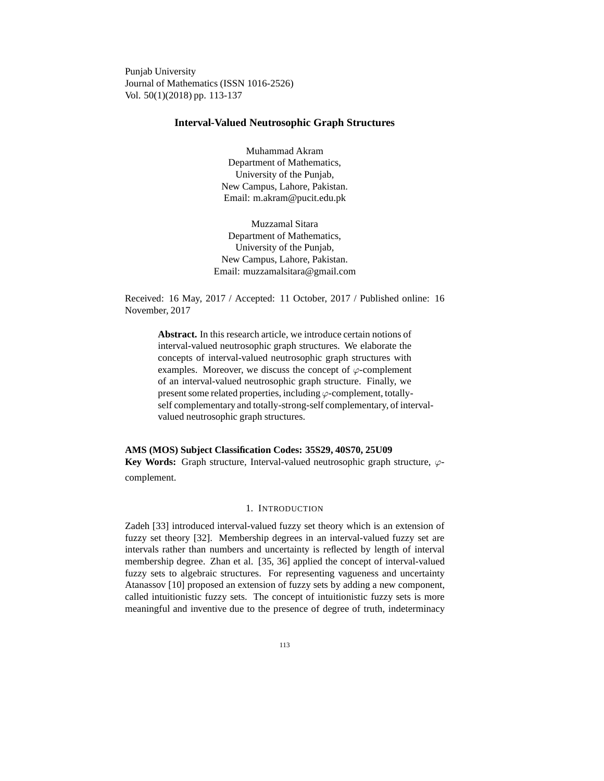Punjab University Journal of Mathematics (ISSN 1016-2526) Vol. 50(1)(2018) pp. 113-137

# **Interval-Valued Neutrosophic Graph Structures**

Muhammad Akram Department of Mathematics, University of the Punjab, New Campus, Lahore, Pakistan. Email: m.akram@pucit.edu.pk

Muzzamal Sitara Department of Mathematics, University of the Punjab, New Campus, Lahore, Pakistan. Email: muzzamalsitara@gmail.com

Received: 16 May, 2017 / Accepted: 11 October, 2017 / Published online: 16 November, 2017

> **Abstract.** In this research article, we introduce certain notions of interval-valued neutrosophic graph structures. We elaborate the concepts of interval-valued neutrosophic graph structures with examples. Moreover, we discuss the concept of  $\varphi$ -complement of an interval-valued neutrosophic graph structure. Finally, we present some related properties, including  $\varphi$ -complement, totallyself complementary and totally-strong-self complementary, of intervalvalued neutrosophic graph structures.

**AMS (MOS) Subject Classification Codes: 35S29, 40S70, 25U09 Key Words:** Graph structure, Interval-valued neutrosophic graph structure, ϕcomplement.

# 1. INTRODUCTION

Zadeh [33] introduced interval-valued fuzzy set theory which is an extension of fuzzy set theory [32]. Membership degrees in an interval-valued fuzzy set are intervals rather than numbers and uncertainty is reflected by length of interval membership degree. Zhan et al. [35, 36] applied the concept of interval-valued fuzzy sets to algebraic structures. For representing vagueness and uncertainty Atanassov [10] proposed an extension of fuzzy sets by adding a new component, called intuitionistic fuzzy sets. The concept of intuitionistic fuzzy sets is more meaningful and inventive due to the presence of degree of truth, indeterminacy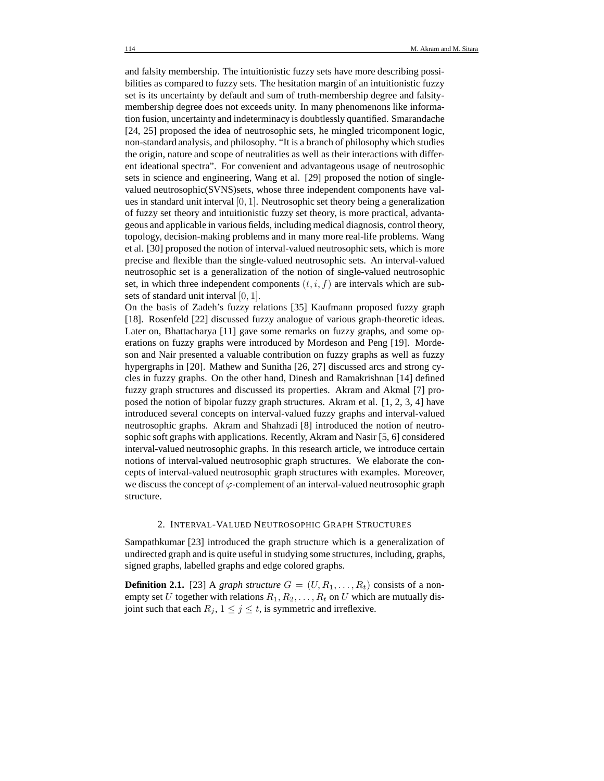and falsity membership. The intuitionistic fuzzy sets have more describing possibilities as compared to fuzzy sets. The hesitation margin of an intuitionistic fuzzy set is its uncertainty by default and sum of truth-membership degree and falsitymembership degree does not exceeds unity. In many phenomenons like information fusion, uncertainty and indeterminacy is doubtlessly quantified. Smarandache [24, 25] proposed the idea of neutrosophic sets, he mingled tricomponent logic, non-standard analysis, and philosophy. "It is a branch of philosophy which studies the origin, nature and scope of neutralities as well as their interactions with different ideational spectra". For convenient and advantageous usage of neutrosophic sets in science and engineering, Wang et al. [29] proposed the notion of singlevalued neutrosophic(SVNS)sets, whose three independent components have values in standard unit interval  $[0, 1]$ . Neutrosophic set theory being a generalization of fuzzy set theory and intuitionistic fuzzy set theory, is more practical, advantageous and applicable in various fields, including medical diagnosis, control theory, topology, decision-making problems and in many more real-life problems. Wang et al. [30] proposed the notion of interval-valued neutrosophic sets, which is more precise and flexible than the single-valued neutrosophic sets. An interval-valued neutrosophic set is a generalization of the notion of single-valued neutrosophic set, in which three independent components  $(t, i, f)$  are intervals which are subsets of standard unit interval  $[0, 1]$ .

On the basis of Zadeh's fuzzy relations [35] Kaufmann proposed fuzzy graph [18]. Rosenfeld [22] discussed fuzzy analogue of various graph-theoretic ideas. Later on, Bhattacharya [11] gave some remarks on fuzzy graphs, and some operations on fuzzy graphs were introduced by Mordeson and Peng [19]. Mordeson and Nair presented a valuable contribution on fuzzy graphs as well as fuzzy hypergraphs in [20]. Mathew and Sunitha [26, 27] discussed arcs and strong cycles in fuzzy graphs. On the other hand, Dinesh and Ramakrishnan [14] defined fuzzy graph structures and discussed its properties. Akram and Akmal [7] proposed the notion of bipolar fuzzy graph structures. Akram et al. [1, 2, 3, 4] have introduced several concepts on interval-valued fuzzy graphs and interval-valued neutrosophic graphs. Akram and Shahzadi [8] introduced the notion of neutrosophic soft graphs with applications. Recently, Akram and Nasir [5, 6] considered interval-valued neutrosophic graphs. In this research article, we introduce certain notions of interval-valued neutrosophic graph structures. We elaborate the concepts of interval-valued neutrosophic graph structures with examples. Moreover, we discuss the concept of  $\varphi$ -complement of an interval-valued neutrosophic graph structure.

#### 2. INTERVAL-VALUED NEUTROSOPHIC GRAPH STRUCTURES

Sampathkumar [23] introduced the graph structure which is a generalization of undirected graph and is quite useful in studying some structures, including, graphs, signed graphs, labelled graphs and edge colored graphs.

**Definition 2.1.** [23] A *graph structure*  $G = (U, R_1, \ldots, R_t)$  consists of a nonempty set U together with relations  $R_1, R_2, \ldots, R_t$  on U which are mutually disjoint such that each  $R_j$ ,  $1 \leq j \leq t$ , is symmetric and irreflexive.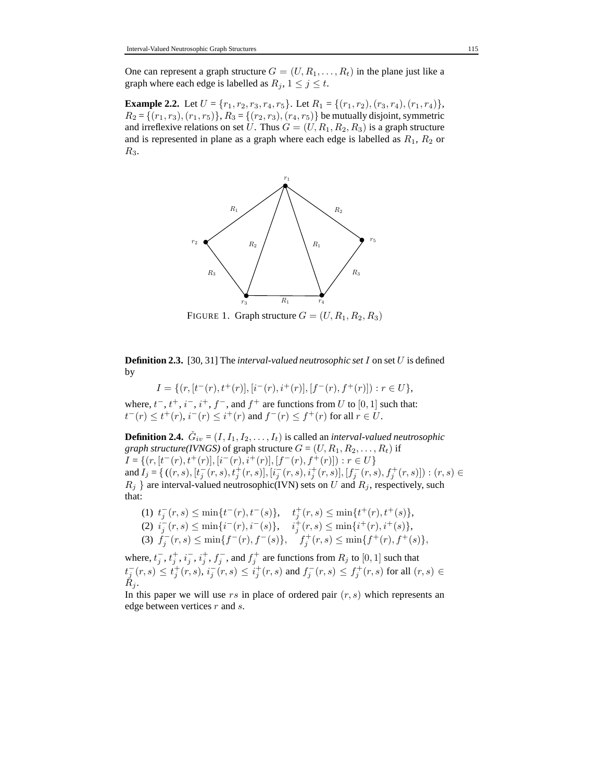One can represent a graph structure  $G = (U, R_1, \ldots, R_t)$  in the plane just like a graph where each edge is labelled as  $R_j$ ,  $1 \leq j \leq t$ .

**Example 2.2.** Let  $U = \{r_1, r_2, r_3, r_4, r_5\}$ . Let  $R_1 = \{(r_1, r_2), (r_3, r_4), (r_1, r_4)\}$ ,  $R_2 = \{(r_1, r_3), (r_1, r_5)\}\, R_3 = \{(r_2, r_3), (r_4, r_5)\}\$  be mutually disjoint, symmetric and irreflexive relations on set U. Thus  $G = (U, R_1, R_2, R_3)$  is a graph structure and is represented in plane as a graph where each edge is labelled as  $R_1$ ,  $R_2$  or  $R<sub>3</sub>$ .



FIGURE 1. Graph structure  $G = (U, R_1, R_2, R_3)$ 

**Definition 2.3.** [30, 31] The *interval-valued neutrosophic set* I on set U is defined by

$$
I = \{ (r, [t^-(r), t^+(r)], [i^-(r), i^+(r)], [f^-(r), f^+(r)]) : r \in U \},
$$

where,  $t^-, t^+, i^-, i^+, f^-,$  and  $f^+$  are functions from U to [0, 1] such that:  $t^-(r) \le t^+(r), i^-(r) \le i^+(r)$  and  $f^-(r) \le f^+(r)$  for all  $r \in U$ .

**Definition 2.4.**  $\check{G}_{iv} = (I, I_1, I_2, \ldots, I_t)$  is called an *interval-valued neutrosophic graph structure(IVNGS)* of graph structure  $G = (U, R_1, R_2, \dots, R_t)$  if  $I = \{(r, [t^-(r), t^+(r)], [i^-(r), i^+(r)], [f^-(r), f^+(r)]) : r \in U\}$ and  $I_j = \{ ((r, s), [t_j^-(r, s), t_j^+(r, s)], [i_j^-(r, s), i_j^+(r, s)], [f_j^-(r, s), f_j^+(r, s)]) : (r, s) \in$  $R_j$  } are interval-valued neutrosophic(IVN) sets on U and  $R_j$ , respectively, such that:

(1) 
$$
t_j^-(r,s) \le \min\{t^-(r), t^-(s)\}, \quad t_j^+(r,s) \le \min\{t^+(r), t^+(s)\},
$$
  
\n(2)  $i_j^-(r,s) \le \min\{i^-(r), i^-(s)\}, \quad i_j^+(r,s) \le \min\{i^+(r), i^+(s)\},$   
\n(3)  $f_j^-(r,s) \le \min\{f^-(r), f^-(s)\}, \quad f_j^+(r,s) \le \min\{f^+(r), f^+(s)\},$ 

where,  $t_j^-, t_j^+, i_j^-, i_j^+, f_j^-,$  and  $f_j^+$  are functions from  $R_j$  to  $[0, 1]$  such that  $t_j^-(r,s) \le t_j^+(r,s)$ ,  $i_j^-(r,s) \le i_j^+(r,s)$  and  $f_j^-(r,s) \le f_j^+(r,s)$  for all  $(r,s) \in$  $R_i$ .

In this paper we will use  $rs$  in place of ordered pair  $(r, s)$  which represents an edge between vertices r and s.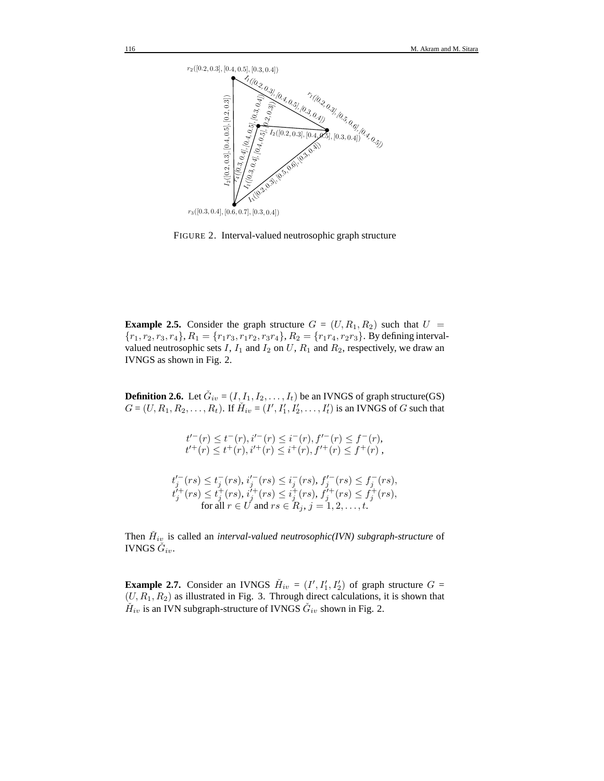

FIGURE 2. Interval-valued neutrosophic graph structure

**Example 2.5.** Consider the graph structure  $G = (U, R_1, R_2)$  such that  $U =$  ${r_1, r_2, r_3, r_4}, R_1 = {r_1r_3, r_1r_2, r_3r_4}, R_2 = {r_1r_4, r_2r_3}.$  By defining intervalvalued neutrosophic sets  $I$ ,  $I_1$  and  $I_2$  on  $U$ ,  $R_1$  and  $R_2$ , respectively, we draw an IVNGS as shown in Fig. 2.

**Definition 2.6.** Let  $\check{G}_{iv} = (I, I_1, I_2, \dots, I_t)$  be an IVNGS of graph structure(GS)  $G = (U, R_1, R_2, \dots, R_t)$ . If  $\check{H}_{iv} = (I', I'_1, I'_2, \dots, I'_t)$  is an IVNGS of  $G$  such that

> $t^{r-}(r) \leq t^{-}(r), i^{r-}(r) \leq i^{-}(r), f^{r-}(r) \leq f^{-}(r),$  $t^{j+}(r) \leq t^+(r), i^{j+}(r) \leq i^+(r), f'^+(r) \leq f^+(r)$ ,  $t'_{j}(rs) \leq t_{j}^{-}(rs), i'_{j}^{-}(rs) \leq i_{j}^{-}(rs), f'_{j}^{-}(rs) \leq f_{j}^{-}(rs),$

$$
t_j^{i+}(rs) \leq t_j^{+}(rs), t_j^{i+}(rs) \leq t_j^{+}(rs), f_j^{i+}(rs) \leq f_j^{+}(rs),
$$
  
for all  $r \in U$  and  $rs \in R_j$ ,  $j = 1, 2, ..., t$ .

Then  $\check{H}_{iv}$  is called an *interval-valued neutrosophic(IVN)* subgraph-structure of IVNGS  $\check{G}_{iv}.$ 

**Example 2.7.** Consider an IVNGS  $\check{H}_{iv} = (I', I'_1, I'_2)$  of graph structure  $G =$  $(U, R_1, R_2)$  as illustrated in Fig. 3. Through direct calculations, it is shown that  $\check{H}_{iv}$  is an IVN subgraph-structure of IVNGS  $\check{G}_{iv}$  shown in Fig. 2.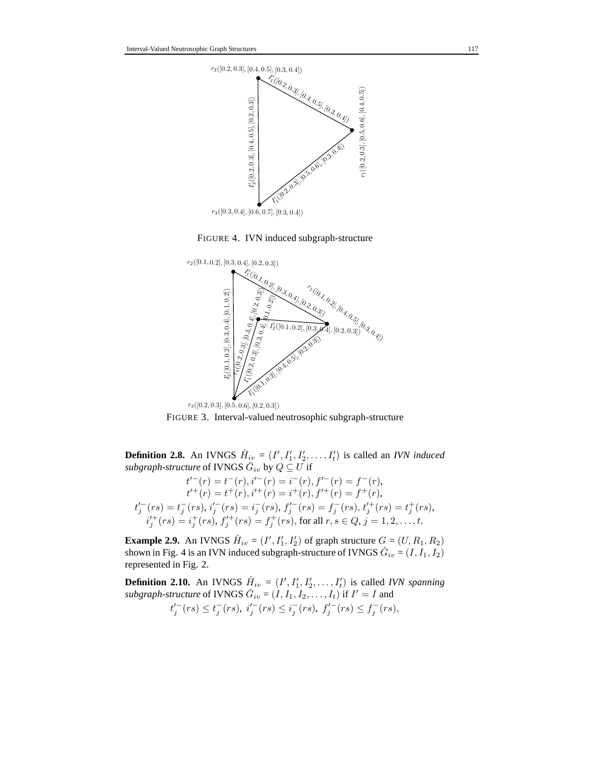

FIGURE 4. IVN induced subgraph-structure



FIGURE 3. Interval-valued neutrosophic subgraph-structure

**Definition 2.8.** An IVNGS  $\check{H}_{iv} = (I', I'_1, I'_2, \dots, I'_t)$  is called an *IVN induced*  $\mathit subgraph\text{-}structure \textrm{ of IVNGS} \ \check{G}_{iv} \textrm{ by } Q \subseteq U \textrm{ if}$ 

$$
t'^{+}(r) = t^{-}(r), i'^{-}(r) = i^{-}(r), f'^{-}(r) = f^{-}(r),
$$
  
\n
$$
t'^{+}(r) = t^{+}(r), i'^{+}(r) = i^{+}(r), f'^{+}(r) = f^{+}(r),
$$
  
\n
$$
t'^{-}_j(rs) = t^{-}_j(rs), i'^{-}_j(rs) = i^{-}_j(rs), f'^{-}_j(rs) = f^{-}_j(rs), t'^{+}_j(rs) = t^{+}_j(rs),
$$
  
\n
$$
i'^{+}_j(rs) = i^{+}_j(rs), f'^{+}_j(rs) = f^{+}_j(rs),
$$
 for all  $r, s \in Q, j = 1, 2, ..., t$ .

**Example 2.9.** An IVNGS  $\check{H}_{iv} = (I', I'_1, I'_2)$  of graph structure  $G = (U, R_1, R_2)$ shown in Fig. 4 is an IVN induced subgraph-structure of IVNGS  $\check{G}_{iv} = (I, I_1, I_2)$ represented in Fig. 2.

**Definition 2.10.** An IVNGS  $\check{H}_{iv} = (I', I'_1, I'_2, \dots, I'_t)$  is called *IVN spanning subgraph-structure* of IVNGS  $\check{G}_{iv} = (I, I_1, I_2, \dots, I_t)$  if  $I' = I$  and  $t'_{j}(rs) \leq t_{j}^{-}(rs), \; i'_{j}(rs) \leq i_{j}^{-}(rs), \; f'_{j}^{-}(rs) \leq f_{j}^{-}(rs),$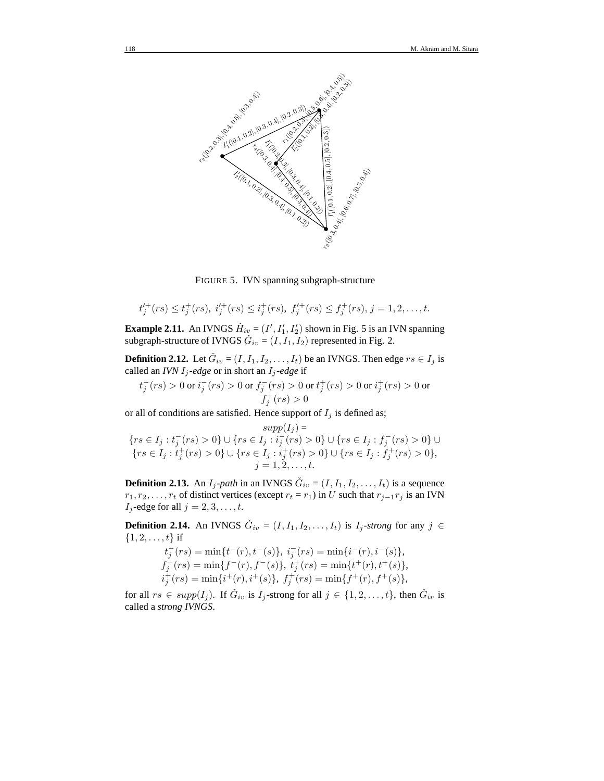

FIGURE 5. IVN spanning subgraph-structure

$$
t'_j^+(rs) \leq t_j^+(rs), \; i'_j^+(rs) \leq t_j^+(rs), \; f'_j^+(rs) \leq f_j^+(rs), \; j=1,2,\ldots,t.
$$

**Example 2.11.** An IVNGS  $\check{H}_{iv} = (I', I'_1, I'_2)$  shown in Fig. 5 is an IVN spanning subgraph-structure of IVNGS  $\check{G}_{iv} = (I, I_1, I_2)$  represented in Fig. 2.

**Definition 2.12.** Let  $\check{G}_{iv} = (I, I_1, I_2, \dots, I_t)$  be an IVNGS. Then edge  $rs \in I_j$  is called an *IVN*  $I_j$ -edge or in short an  $I_j$ -edge if

$$
t_j^-(rs) > 0 \text{ or } i_j^-(rs) > 0 \text{ or } f_j^-(rs) > 0 \text{ or } t_j^+(rs) > 0 \text{ or } i_j^+(rs) > 0 \text{ or }
$$
  

$$
f_j^+(rs) > 0
$$

or all of conditions are satisfied. Hence support of  $I_j$  is defined as;

$$
\begin{aligned}\n\text{supp}(I_j) &= \\
\{rs \in I_j : t_j^-(rs) > 0\} \cup \{rs \in I_j : i_j^-(rs) > 0\} \cup \{rs \in I_j : f_j^-(rs) > 0\} \cup \\
\{rs \in I_j : t_j^+(rs) > 0\} \cup \{rs \in I_j : i_j^+(rs) > 0\} \cup \{rs \in I_j : f_j^+(rs) > 0\}, \\
j &= 1, 2, \dots, t.\n\end{aligned}
$$

**Definition 2.13.** An  $I_j$ -path in an IVNGS  $\check{G}_{iv} = (I, I_1, I_2, \dots, I_t)$  is a sequence  $r_1, r_2, \ldots, r_t$  of distinct vertices (except  $r_t = r_1$ ) in U such that  $r_{j-1}r_j$  is an IVN  $I_j$ -edge for all  $j = 2, 3, \ldots, t$ .

**Definition 2.14.** An IVNGS  $\check{G}_{iv} = (I, I_1, I_2, \ldots, I_t)$  is  $I_j$ -strong for any  $j \in$  $\{1, 2, \ldots, t\}$  if

$$
t_j^-(rs) = \min\{t^-(r), t^-(s)\}, \ i_j^-(rs) = \min\{i^-(r), i^-(s)\},
$$
  
\n
$$
f_j^-(rs) = \min\{f^-(r), f^-(s)\}, \ t_j^+(rs) = \min\{t^+(r), t^+(s)\},
$$
  
\n
$$
i_j^+(rs) = \min\{i^+(r), i^+(s)\}, \ f_j^+(rs) = \min\{f^+(r), f^+(s)\},
$$

for all  $rs \in supp(I_j)$ . If  $\check{G}_{iv}$  is  $I_j$ -strong for all  $j \in \{1, 2, ..., t\}$ , then  $\check{G}_{iv}$  is called a *strong IVNGS*.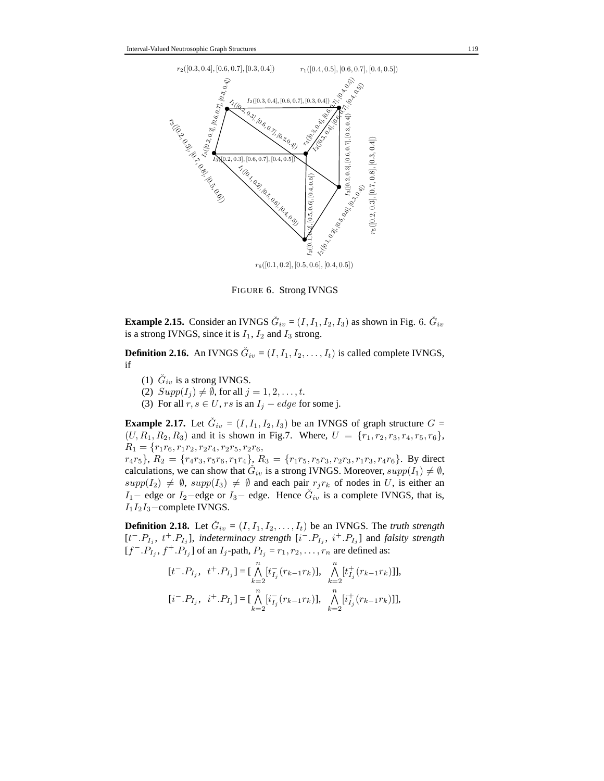

FIGURE 6. Strong IVNGS

**Example 2.15.** Consider an IVNGS  $\check{G}_{iv} = (I, I_1, I_2, I_3)$  as shown in Fig. 6.  $\check{G}_{iv}$ is a strong IVNGS, since it is  $I_1$ ,  $I_2$  and  $I_3$  strong.

**Definition 2.16.** An IVNGS  $\check{G}_{iv} = (I, I_1, I_2, \dots, I_t)$  is called complete IVNGS, if

- (1)  $\check{G}_{iv}$  is a strong IVNGS.
- (2)  $Supp(I_i) \neq \emptyset$ , for all  $j = 1, 2, \ldots, t$ .
- (3) For all  $r, s \in U$ ,  $rs$  is an  $I_j edge$  for some j.

**Example 2.17.** Let  $\check{G}_{iv} = (I, I_1, I_2, I_3)$  be an IVNGS of graph structure  $G =$  $(U, R_1, R_2, R_3)$  and it is shown in Fig.7. Where,  $U = \{r_1, r_2, r_3, r_4, r_5, r_6\}$ ,  $R_1 = \{r_1r_6, r_1r_2, r_2r_4, r_2r_5, r_2r_6,$  $r_4r_5$ ,  $R_2 = \{r_4r_3, r_5r_6, r_1r_4\}$ ,  $R_3 = \{r_1r_5, r_5r_3, r_2r_3, r_1r_3, r_4r_6\}$ . By direct calculations, we can show that  $\tilde{G}_{iv}$  is a strong IVNGS. Moreover,  $supp(I_1) \neq \emptyset$ ,

 $supp(I_2) \neq \emptyset$ ,  $supp(I_3) \neq \emptyset$  and each pair  $r_j r_k$  of nodes in U, is either an I<sub>1</sub> – edge or I<sub>2</sub> – edge or I<sub>3</sub> – edge. Hence  $\check{G}_{iv}$  is a complete IVNGS, that is,  $I_1I_2I_3$ –complete IVNGS.

**Definition 2.18.** Let  $\check{G}_{iv} = (I, I_1, I_2, \dots, I_t)$  be an IVNGS. The *truth strength*  $[t^-, P_{I_j}, t^+, P_{I_j}]$ , *indeterminacy strength*  $[i^-, P_{I_j}, i^+, P_{I_j}]$  and *falsity strength*  $[f^-, P_{I_j}, f^+, P_{I_j}]$  of an  $I_j$ -path,  $P_{I_j} = r_1, r_2, \ldots, r_n$  are defined as:

$$
\begin{aligned} [t^-.P_{I_j},~~t^+.P_{I_j}] & = [\bigwedge_{k=2}^n[t^-_{I_j}(r_{k-1}r_k)],~~\bigwedge_{k=2}^n[t^+_{I_j}(r_{k-1}r_k)]],\\ [i^-.P_{I_j},~~i^+.P_{I_j}] & = [\bigwedge_{k=2}^n[i^-_{I_j}(r_{k-1}r_k)],~~\bigwedge_{k=2}^n[i^+_{I_j}(r_{k-1}r_k)]], \end{aligned}
$$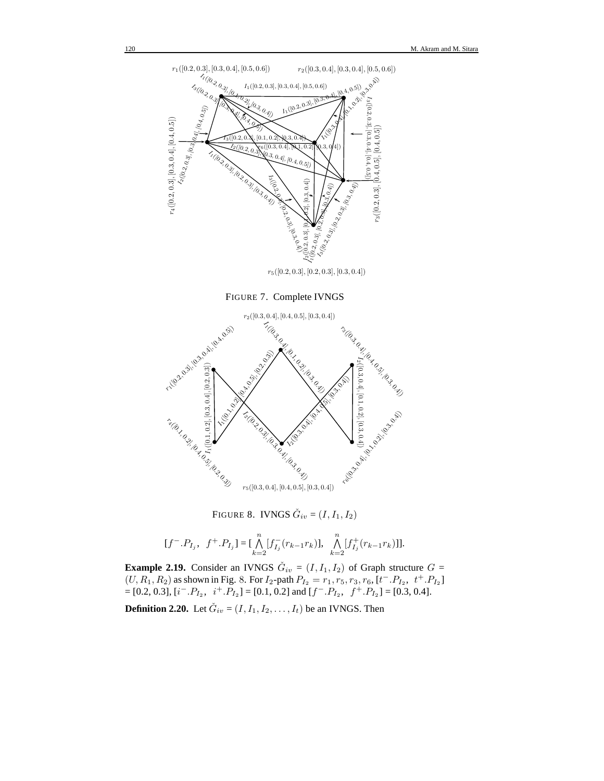

FIGURE 7. Complete IVNGS



FIGURE 8. IVNGS  $\check{G}_{iv} = (I, I_1, I_2)$ 

$$
[f^-.P_{I_j}, f^+.P_{I_j}] = [\bigwedge_{k=2}^n [f_{I_j}^-(r_{k-1}r_k)], \bigwedge_{k=2}^n [f_{I_j}^+(r_{k-1}r_k)]].
$$

**Example 2.19.** Consider an IVNGS  $\check{G}_{iv} = (I, I_1, I_2)$  of Graph structure  $G =$  $(U, R_1, R_2)$  as shown in Fig. 8. For  $I_2$ -path  $P_{I_2} = r_1, r_5, r_3, r_6, [t^-.P_{I_2}, t^+.P_{I_2}]$  $=[0.2, 0.3], [i^-.P_{I_2}, i^+.P_{I_2}] = [0.1, 0.2]$  and  $[f^-.P_{I_2}, f^+.P_{I_2}] = [0.3, 0.4].$ 

**Definition 2.20.** Let  $\check{G}_{iv} = (I, I_1, I_2, \dots, I_t)$  be an IVNGS. Then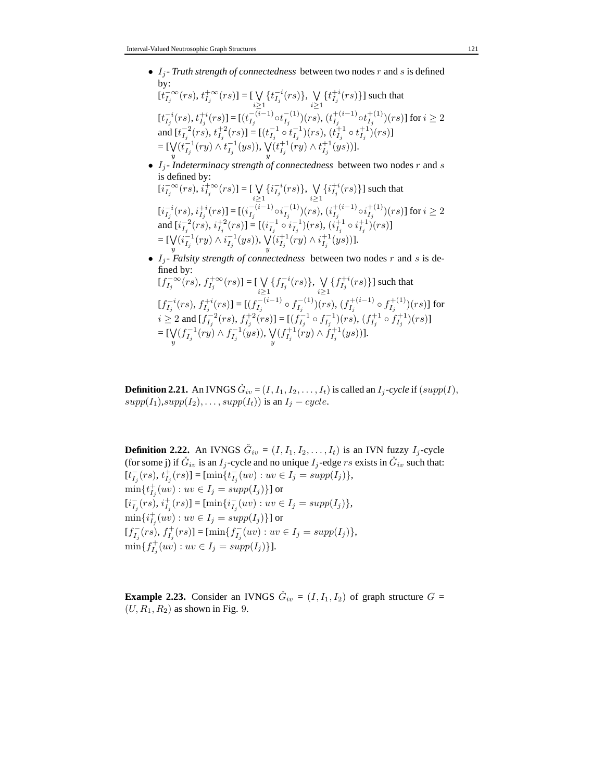•  $I_j$ - Truth strength of connectedness between two nodes  $r$  and  $s$  is defined by:

$$
\begin{aligned} & [\dot{t}_{I_j}^{-\infty}(rs),\,t_{I_j}^{+\infty}(rs)]=[\bigvee_{i\geq 1}\{\dot{t}_{I_j}^{-i}(rs)\},\,\bigvee_{i\geq 1}\{\dot{t}_{I_j}^{+i}(rs)\}] \text{ such that}\\ & [\dot{t}_{I_j}^{-i}(rs),\dot{t}_{I_j}^{+i}(rs)]=[(\dot{t}_{I_j}^{-(i-1)}\circ \dot{t}_{I_j}^{-(1)})(rs),(\dot{t}_{I_j}^{+(i-1)}\circ \dot{t}_{I_j}^{+(1)})(rs)] \text{ for } i\geq 2\\ & \text{and } [\dot{t}_{I_j}^{-2}(rs),\,t_{I_j}^{+2}(rs)]=[(\dot{t}_{I_j}^{-1}\circ \dot{t}_{I_j}^{-1})(rs),(\dot{t}_{I_j}^{+1}\circ \dot{t}_{I_j}^{+1})(rs)]\\ &=[\bigvee_{i\in I_j}(\dot{t}_{I_j}^{-1}(ry)\wedge \dot{t}_{I_j}^{-1}(ys)),\,\bigvee_{i\in I_j}(\dot{t}_{I_j}^{+1}(ry)\wedge \dot{t}_{I_j}^{+1}(ys))]. \end{aligned}
$$

- $I_j$ -*Indeterminacy strength of connectedness* between two nodes r and s is defined by:  $[i_{I_j}^{-\infty}(rs), i_{I_j}^{+\infty}(rs)] = [\bigvee$ i≥1  $\{i_{I_j}^{-i}(rs)\},\;$  V i≥1  $\{i_{I_j}^{+i}(rs)\}$ ] such that  $[i_{I_j}^{-i}(rs), i_{I_j}^{+i}(rs)] = [(i_{I_j}^{-(i-1)})$  $\frac{-(i-1)}{I_j} \circ i_{I_j}^{-(1)}$  $\binom{- (1)}{I_j} (rs),$   $(i_{I_j}^{+ (i - 1)})$  $\frac{1}{I_j}^{(i-1)} \circ i_{I_j}^{+(1)}$  $\int_{I_j}^{+(1)}\big)(rs)]$  for  $i\geq 2$ and  $[i_{I_j}^{-2}(rs), i_{I_j}^{+2}(rs)] = [(i_{I_j}^{-1} \circ i_{I_j}^{-1})(rs), (i_{I_j}^{+1} \circ i_{I_j}^{+1})(rs)]$  $=\llbracket \bigvee \limits_y ( i^{-1}_{I_j}(ry) \wedge i^{-1}_{I_j}(ys)), \bigvee \limits_y ( i^{+1}_{I_j}(ry) \wedge i^{+1}_{I_j}(ys)) \rrbracket.$
- $I_j$  Falsity strength of connectedness between two nodes r and s is defined by:  $[f_{I_j}^{-\infty}(rs), f_{I_j}^{+\infty}(rs)] = [\bigvee \{f_{I_j}^{-i}(rs)\}, \bigvee \{f_{I_j}^{+i}(rs)\}]$  such that

$$
[f_{I_j}^{-(i\sigma)}, f_{I_j}^{+(i\sigma)}] = [(f_{I_j}^{-(i-1)} \circ f_{I_j}^{-(1)})(rs), (f_{I_j}^{+(i-1)} \circ f_{I_j}^{+(1)})(rs)]
$$
 for  
\n $i \ge 2$  and  $[f_{I_j}^{-(2)}(rs), f_{I_j}^{+(2)}(rs)] = [(f_{I_j}^{-(1)} \circ f_{I_j}^{-(1)})(rs), (f_{I_j}^{+(i-1)} \circ f_{I_j}^{+(1)})(rs)]$   
\n
$$
= [\bigvee_{y} (f_{I_j}^{-(1)}(ry) \wedge f_{I_j}^{-(1)}(ys)), \bigvee_{y} (f_{I_j}^{+(1)}(ry) \wedge f_{I_j}^{+(1)}(ys))].
$$

**Definition 2.21.** An IVNGS  $\check{G}_{iv} = (I, I_1, I_2, \dots, I_t)$  is called an  $I_j$ *-cycle* if  $(supp(I),$  $supp(I_1), supp(I_2), \ldots, supp(I_t))$  is an  $I_j-cycle$ .

**Definition 2.22.** An IVNGS  $\check{G}_{iv} = (I, I_1, I_2, \dots, I_t)$  is an IVN fuzzy  $I_j$ -cycle (for some j) if  $\check{G}_{iv}$  is an  $I_j$ -cycle and no unique  $I_j$ -edge rs exists in  $\check{G}_{iv}$  such that:  $[t_{I_j}^-(rs), t_{I_j}^+(rs)] = [\min\{t_{I_j}^-(uv) : uv \in I_j = supp(I_j)\},\$  $\min\{t^+_{I_j}(uv): uv\in I_j=supp(I_j)\}]$  or  $[i_{I_j}^-(rs), i_{I_j}^+(rs)] = [\min\{i_{I_j}^-(uv) : uv \in I_j = supp(I_j)\},\$  $\min\{i^+_{I_j}(uv): uv\in I_j=supp(I_j)\}]$  or  $[f_{I_j}^-(rs), f_{I_j}^+(rs)] = [\min\{f_{I_j}^-(uv) : uv \in I_j = supp(I_j)\},\$  $\min\{f_{I_j}^+(uv): uv \in I_j = supp(I_j)\}\}.$ 

**Example 2.23.** Consider an IVNGS  $\check{G}_{iv} = (I, I_1, I_2)$  of graph structure  $G =$  $(U, R_1, R_2)$  as shown in Fig. 9.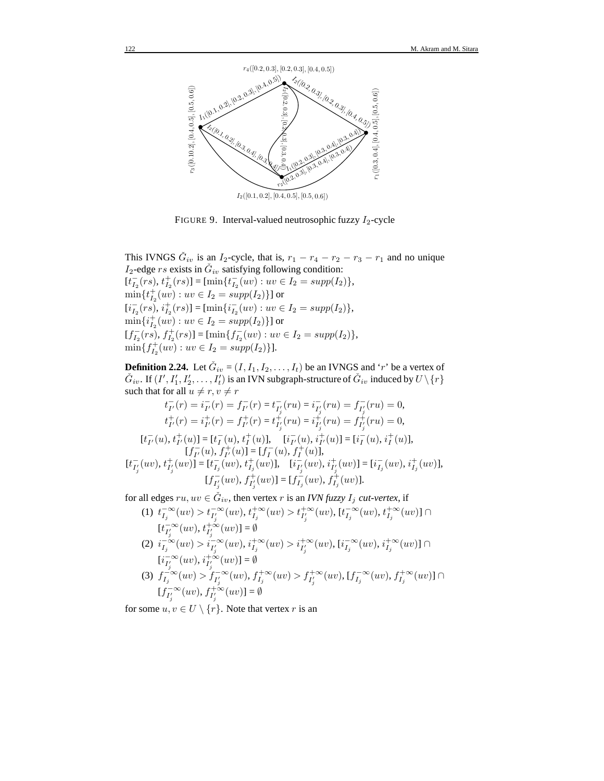

FIGURE 9. Interval-valued neutrosophic fuzzy  $I_2$ -cycle

This IVNGS  $\check{G}_{iv}$  is an I<sub>2</sub>-cycle, that is,  $r_1 - r_4 - r_2 - r_3 - r_1$  and no unique  $I_2$ -edge rs exists in  $\check{G}_{iv}$  satisfying following condition:  $[t_{I_2}^-(rs), t_{I_2}^+(rs)] = [\min\{t_{I_2}^-(uv) : uv \in I_2 = supp(I_2)\},\$  $\min\{t^+_{I_2}(uv): uv \in I_2 = supp(I_2)\}\}\$ or  $[i_{I_2}^-(rs), i_{I_2}^+(rs)] = [\min\{i_{I_2}^-(uv) : uv \in I_2 = supp(I_2)\},\$  $\min\{i_{I_2}^+(uv): uv \in I_2 = supp(I_2)\}\}\$ or  $[f_{I_2}^-(rs), f_{I_2}^+(rs)] = [\min\{f_{I_2}^-(uv) : uv \in I_2 = supp(I_2)\},\$  $\min\{f_{I_2}^+(uv): uv \in I_2 = supp(I_2)\}\}.$ 

**Definition 2.24.** Let  $\check{G}_{iv} = (I, I_1, I_2, \dots, I_t)$  be an IVNGS and 'r' be a vertex of  $\check{G}_{iv}$ . If  $(I', I'_1, I'_2, \ldots, I'_t)$  is an IVN subgraph-structure of  $\check{G}_{iv}$  induced by  $U \setminus \{r\}$ such that for all  $u \neq r, v \neq r$ 

$$
t_{I'}^-(r) = i_{I'}^-(r) = t_{I'_j}^-(ru) = i_{I'_j}^-(ru) = f_{I'_j}^-(ru) = 0,
$$
  
\n
$$
t_{I'}^+(r) = i_{I'}^+(r) = f_{I'}^+(r) = t_{I'_j}^+(ru) = i_{I'_j}^+(ru) = f_{I'_j}^+(ru) = 0,
$$
  
\n
$$
[t_{I'}^-(u), t_{I'}^+(u)] = [t_I^-(u), t_I^+(u)], \quad [i_{I'}^-(u), i_{I'}^+(u)] = [i_I^-(u), i_I^+(u)],
$$
  
\n
$$
[f_{I'}^-(u), f_{I'}^+(u)] = [f_{I}^-(u), f_I^+(u)],
$$
  
\n
$$
[t_{I'_j}^-(uv), t_{I'_j}^+(uv)] = [t_{I_j}^-(uv), t_{I'_j}^+(uv)], \quad [i_{I'_j}^-(uv), i_{I'_j}^+(uv)] = [i_{I_j}^-(uv), i_{I_j}^+(uv)],
$$
  
\n
$$
[f_{I'_j}^-(uv), f_{I'_j}^+(uv)] = [f_{I_j}^-(uv), f_{I_j}^+(uv)].
$$

for all edges  $ru, uv \in \check{G}_{iv}$ , then vertex r is an *IVN fuzzy*  $I_j$  *cut-vertex*, if

(1)  $t_{I_j}^{-\infty}(uv) > t_{I'_j}^{-\infty}(uv), t_{I_j}^{+\infty}(uv) > t_{I'_j}^{+\infty}(uv), [t_{I_j}^{-\infty}(uv), t_{I_j}^{+\infty}(uv)] \cap$  $[t_{I'_j}^{-\infty}(uv), t_{I'_j}^{+\infty}(uv)] = \emptyset$ (2)  $i_{I_j}^{-\infty}(uv) > i_{I'_j}^{-\infty}(uv), i_{I_j}^{+\infty}(uv) > i_{I'_j}^{+\infty}(uv), [i_{I_j}^{-\infty}(uv), i_{I_j}^{+\infty}(uv)] \cap$  $[i_{I'_j}^{-\infty}(uv), i_{I'_j}^{+\infty}(uv)] = \emptyset$ (3)  $f_{I_j}^{-\infty}(uv) > f_{I'_j}^{-\infty}(uv), f_{I_j}^{+\infty}(uv) > f_{I'_j}^{+\infty}(uv), [f_{I_j}^{-\infty}(uv), f_{I_j}^{+\infty}(uv)] \cap$  $[f_{I'_j}^{-\infty}(uv), f_{I'_j}^{+\infty}(uv)] = \emptyset$ 

for some  $u, v \in U \setminus \{r\}$ . Note that vertex r is an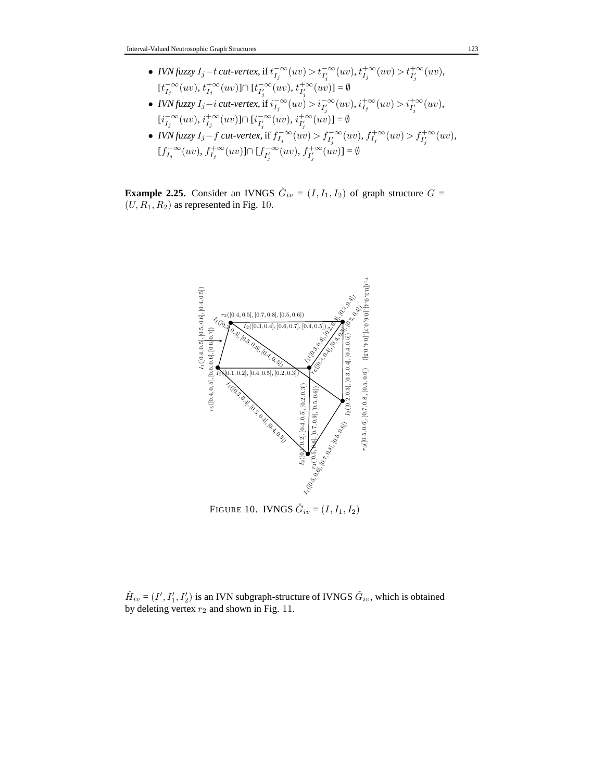- *IVN* fuzzy  $I_j t$  *cut-vertex*, if  $t_{I_j}^{-\infty}(uv) > t_{I'_j}^{-\infty}(uv)$ ,  $t_{I_j}^{+\infty}(uv) > t_{I'_j}^{+\infty}(uv)$ ,  $[t_{I_j}^{-\infty}(uv), t_{I_j}^{+\infty}(uv)] \cap [t_{I'_j}^{-\infty}(uv), t_{I'_j}^{+\infty}(uv)] = \emptyset$
- *IVN* fuzzy  $I_j i$  *cut-vertex*, if  $i_{I_j}^{-\infty}(uv) > i_{I'_j}^{-\infty}(uv)$ ,  $i_{I_j}^{+\infty}(uv) > i_{I'_j}^{+\infty}(uv)$ ,  $[i_{I_j}^{-\infty}(uv), i_{I_j}^{+\infty}(uv)] \cap [i_{I'_j}^{-\infty}(uv), i_{I'_j}^{+\infty}(uv)] = \emptyset$
- *IVN* fuzzy  $I_j f$  *cut-vertex*, if  $f_{I_j}^{-\infty}(uv) > f_{I'_j}^{-\infty}(uv)$ ,  $f_{I_j}^{+\infty}(uv) > f_{I'_j}^{+\infty}(uv)$ ,  $[f_{I_j}^{-\infty}(uv), f_{I_j}^{+\infty}(uv)] \cap [f_{I'_j}^{-\infty}(uv), f_{I'_j}^{+\infty}(uv)] = \emptyset$

**Example 2.25.** Consider an IVNGS  $\check{G}_{iv} = (I, I_1, I_2)$  of graph structure  $G =$  $(U, R_1, R_2)$  as represented in Fig. 10.



 $\check{H}_{iv} = (I', I'_1, I'_2)$  is an IVN subgraph-structure of IVNGS  $\check{G}_{iv}$ , which is obtained by deleting vertex  $r_2$  and shown in Fig. 11.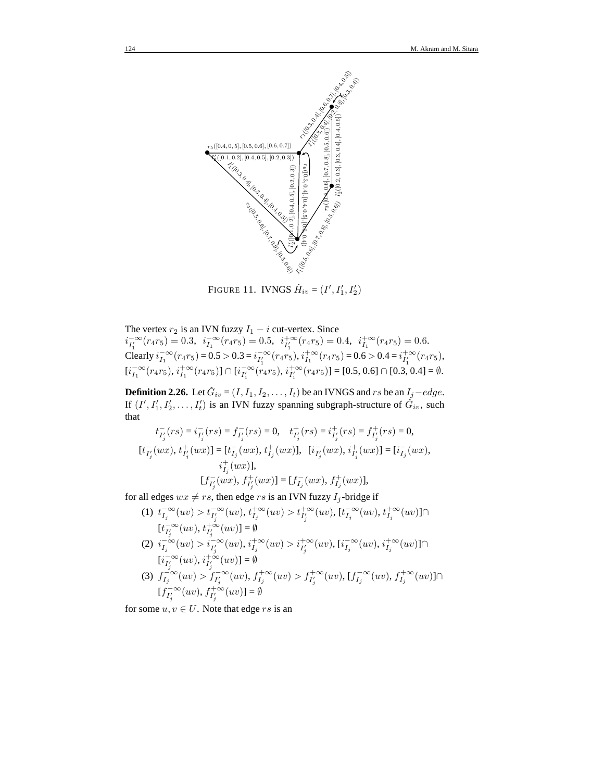

FIGURE 11. IVNGS  $\check{H}_{iv} = (I', I'_1, I'_2)$ 

The vertex  $r_2$  is an IVN fuzzy  $I_1 - i$  cut-vertex. Since

 $i_{I'_1}^{-\infty}(r_4r_5) = 0.3, i_{I_1}^{-\infty}(r_4r_5) = 0.5, i_{I'_1}^{+\infty}(r_4r_5) = 0.4, i_{I_1}^{+\infty}(r_4r_5) = 0.6.$ Clearly  $i_{I_1}^{-\infty}(r_4r_5) = 0.5 > 0.3 = i_{I'_1}^{-\infty}(r_4r_5), i_{I_1}^{+\infty}(r_4r_5) = 0.6 > 0.4 = i_{I'_1}^{+\infty}(r_4r_5)$ ,  $[i_{I_1}^{-\infty}(r_4r_5), i_{I_1}^{+\infty}(r_4r_5)] \cap [i_{I'_1}^{-\infty}(r_4r_5), i_{I'_1}^{+\infty}(r_4r_5)] = [0.5, 0.6] \cap [0.3, 0.4] = \emptyset.$ 

**Definition 2.26.** Let  $\check{G}_{iv} = (I, I_1, I_2, \dots, I_t)$  be an IVNGS and rs be an  $I_j - edge$ . If  $(I', I'_1, I'_2, \ldots, I'_t)$  is an IVN fuzzy spanning subgraph-structure of  $\check{G}_{iv}$ , such that

$$
\begin{aligned} t_{I'_j}^-(rs) &= i_{I'_j}^-(rs) = f_{I'_j}^-(rs) = 0, \quad t_{I'_j}^+(rs) = i_{I'_j}^+(rs) = f_{I'_j}^+(rs) = 0, \\ [t_{I'_j}(wx),\, t_{I'_j}^+(wx)] &= [t_{I_j}^-(wx),\, t_{I_j}^+(wx)], \quad [i_{I'_j}^-(wx),\, i_{I'_j}^+(wx)] = [i_{I_j}^-(wx), \\ [t_{I'_j}^-(wx),\, f_{I'_j}^+(wx)] &= [f_{I_j}^-(wx),\, f_{I_j}^+(wx)], \end{aligned}
$$

for all edges  $wx \neq rs$ , then edge rs is an IVN fuzzy  $I_j$ -bridge if

(1)  $t_{I_j}^{-\infty}(uv) > t_{I'_j}^{-\infty}(uv), t_{I_j}^{+\infty}(uv) > t_{I'_j}^{+\infty}(uv), [t_{I_j}^{-\infty}(uv), t_{I_j}^{+\infty}(uv)] \cap$  $[t_{I'_j}^{-\infty}(uv), t_{I'_j}^{+\infty}(uv)] = \emptyset$ (2)  $i_{I_j}^{-\infty}(uv) > i_{I'_j}^{-\infty}(uv), i_{I_j}^{+\infty}(uv) > i_{I'_j}^{+\infty}(uv), [i_{I_j}^{-\infty}(uv), i_{I_j}^{+\infty}(uv)] \cap$  $[i_{I'_j}^{-\infty}(uv), i_{I'_j}^{+\infty}(uv)] = \emptyset$ (3)  $f_{I_j}^{-\infty}(uv) > f_{I'_j}^{-\infty}(uv), f_{I_j}^{+\infty}(uv) > f_{I'_j}^{+\infty}(uv), [f_{I_j}^{-\infty}(uv), f_{I_j}^{+\infty}(uv)] \cap$  $[f_{I'_j}^{-\infty}(uv), f_{I'_j}^{+\infty}(uv)] = \emptyset$ 

for some  $u, v \in U$ . Note that edge rs is an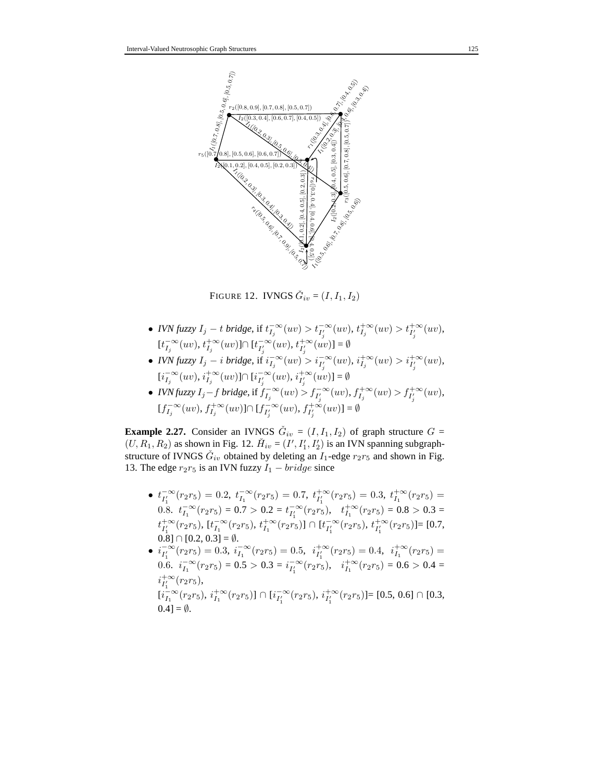

FIGURE 12. IVNGS  $\check{G}_{iv} = (I, I_1, I_2)$ 

- *IVN* fuzzy  $I_j t$  *bridge*, if  $t_{I_j}^{-\infty}(uv) > t_{I'_j}^{-\infty}(uv)$ ,  $t_{I_j}^{+\infty}(uv) > t_{I'_j}^{+\infty}(uv)$ ,  $[t_{I_j}^{-\infty}(uv), t_{I_j}^{+\infty}(uv)] \cap [t_{I'_j}^{-\infty}(uv), t_{I'_j}^{+\infty}(uv)] = \emptyset$
- *IVN* fuzzy  $I_j i$  *bridge*, if  $i_{I_j}^{-\infty}(uv) > i_{I'_j}^{-\infty}(uv)$ ,  $i_{I_j}^{+\infty}(uv) > i_{I'_j}^{+\infty}(uv)$ ,  $[i_{I_j}^{-\infty}(uv), i_{I_j}^{+\infty}(uv)] \cap [i_{I'_j}^{-\infty}(uv), i_{I'_j}^{+\infty}(uv)] = \emptyset$
- *IVN* fuzzy  $I_j f$  *bridge*, if  $f_{I_j}^{-\infty}(uv) > f_{I'_j}^{-\infty}(uv)$ ,  $f_{I_j}^{+\infty}(uv) > f_{I'_j}^{+\infty}(uv)$ ,  $[f_{I_j}^{-\infty}(uv), f_{I_j}^{+\infty}(uv)] \cap [f_{I'_j}^{-\infty}(uv), f_{I'_j}^{+\infty}(uv)] = \emptyset$

**Example 2.27.** Consider an IVNGS  $\check{G}_{iv} = (I, I_1, I_2)$  of graph structure  $G =$  $(U, R_1, R_2)$  as shown in Fig. 12.  $\check{H}_{iv} = (I', I'_1, I'_2)$  is an IVN spanning subgraphstructure of IVNGS  $\check{G}_{iv}$  obtained by deleting an  $I_1$ -edge  $r_2r_5$  and shown in Fig. 13. The edge  $r_2r_5$  is an IVN fuzzy  $I_1 - bridge$  since

- $t_{I'_1}^{-\infty}(r_2r_5) = 0.2$ ,  $t_{I_1}^{-\infty}(r_2r_5) = 0.7$ ,  $t_{I'_1}^{+\infty}(r_2r_5) = 0.3$ ,  $t_{I_1}^{+\infty}(r_2r_5) =$  $t_{I_1}^{1}$   $\infty$  ( $r_2r_5$ ) = 0.7 > 0.2 =  $t_{I'_1}^{-\infty}$  ( $r_2r_5$ ),  $t_{I_1}^{+\infty}$  ( $r_2r_5$ ) = 0.8 > 0.3 =  $t_{I'_1}^{+\infty}(r_2r_5), \, [t_{I_1}^{-\infty}(r_2r_5), \, t_{I_1}^{+\infty}(r_2r_5)] \cap [t_{I'_1}^{-\infty}(r_2r_5), \, t_{I'_1}^{+\infty}(r_2r_5)] = [0.7,$  $[0.8] \cap [0.2, 0.3] = \emptyset$ .
- $i_{I'_1}^{-\infty}(r_2r_5) = 0.3$ ,  $i_{I_1}^{-\infty}(r_2r_5) = 0.5$ ,  $i_{I'_1}^{+\infty}(r_2r_5) = 0.4$ ,  $i_{I_1}^{+\infty}(r_2r_5) =$ 0.6.  $i_{I_1}^{-\infty}(r_2r_5) = 0.5 > 0.3 = i_{I'_1}^{-\infty}(r_2r_5), \quad i_{I_1}^{+\infty}(r_2r_5) = 0.6 > 0.4 =$  $i_{I'_1}^{+\infty}(r_2r_5),$  $[i_{I_1}^{-} \propto (r_2r_5), i_{I_1}^{+} \propto (r_2r_5)] \cap [i_{I_1'}^{-} \propto (r_2r_5), i_{I_1'}^{+} \propto (r_2r_5)] = [0.5, 0.6] \cap [0.3,$  $0.4$ ] =  $\emptyset$ .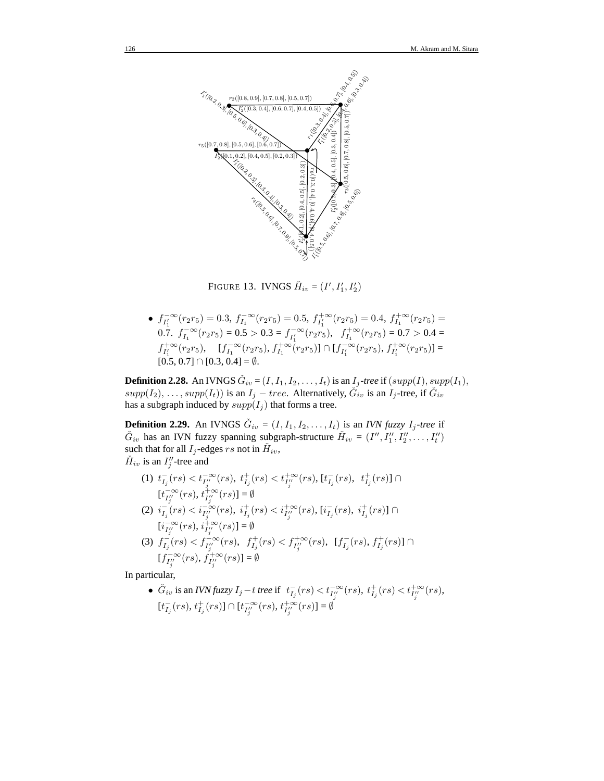

FIGURE 13. IVNGS  $\check{H}_{iv} = (I', I'_1, I'_2)$ 

•  $f_{I'_1}^{-\infty}(r_2r_5) = 0.3$ ,  $f_{I_1}^{-\infty}(r_2r_5) = 0.5$ ,  $f_{I'_1}^{+\infty}(r_2r_5) = 0.4$ ,  $f_{I_1}^{+\infty}(r_2r_5) = 0.4$ 0.7.  $f_{I_1}^{-\infty}(r_2r_5) = 0.5 > 0.3 = f_{I_1'}^{-\infty}(r_2r_5)$ ,  $f_{I_1}^{+\infty}(r_2r_5) = 0.7 > 0.4 =$  $f_{I'_1}^{+\infty}(r_2r_5), \quad [f_{I_1}^{-\infty}(r_2r_5), f_{I_1}^{+\infty}(r_2r_5)] \cap [f_{I'_1}^{-\infty}(r_2r_5), f_{I'_1}^{+\infty}(r_2r_5)] =$  $[0.5, 0.7] \cap [0.3, 0.4] = \emptyset.$ 

**Definition 2.28.** An IVNGS  $\check{G}_{iv} = (I, I_1, I_2, \ldots, I_t)$  is an  $I_j$ *-tree* if  $(supp(I), supp(I_1),$  $supp(I_2), \ldots, supp(I_t)$ ) is an  $I_j - tree$ . Alternatively,  $\check{G}_{iv}$  is an  $I_j$ -tree, if  $\check{G}_{iv}$ has a subgraph induced by  $supp(I_i)$  that forms a tree.

**Definition 2.29.** An IVNGS  $\check{G}_{iv} = (I, I_1, I_2, \dots, I_t)$  is an *IVN fuzzy*  $I_j$ -tree if  $\check{G}_{iv}$  has an IVN fuzzy spanning subgraph-structure  $\check{H}_{iv} = (I'', I''_1, I''_2, \ldots, I''_t)$ such that for all  $I_j$ -edges rs not in  $\check{H}_{iv}$ ,

 $\check{H}_{iv}$  is an  $I''_j$ -tree and

 $(1)$   $t_{I_j}^-(rs) < t_{I''_j}^{-\infty}(rs), t_{I_j}^+(rs) < t_{I''_j}^{+\infty}(rs), [t_{I_j}^-(rs), t_{I_j}^+(rs)] \cap$  $[t_{I''_i}^{-\infty}(rs), t_{I''_i}^{+\infty}(rs)] = \emptyset$  $\begin{equation} \begin{aligned} \text{(2) }&\ i_{I_{j}}^{-}(rs)$  $[i_{I''_i}^{-\infty}(rs), i_{I''_i}^{+\infty}(rs)] = \emptyset$ (3)  $f_{I_j}^-(rs) < f_{I''_j}^{j}^-(rs)$ ,  $f_{I_j}^+(rs) < f_{I''_j}^{+\infty}(rs)$ ,  $[f_{I_j}^-(rs), f_{I_j}^+(rs)] \cap$  $[f_{I''_j}^{-\infty}(rs), f_{I''_j}^{+\infty}(rs)] = \emptyset$ 

In particular,

●  $\check{G}_{iv}$  is an *IVN* fuzzy  $I_j - t$  tree if  $t_{I_j}^-(rs) < t_{I''_j}^{-\infty}(rs)$ ,  $t_{I_j}^+(rs) < t_{I''_j}^{+\infty}(rs)$ ,  $[t_{I_j}^-(rs), t_{I_j}^+(rs)] \cap [t_{I''_j}^{-\infty}(rs), t_{I''_j}^{+\infty}(rs)] = \emptyset$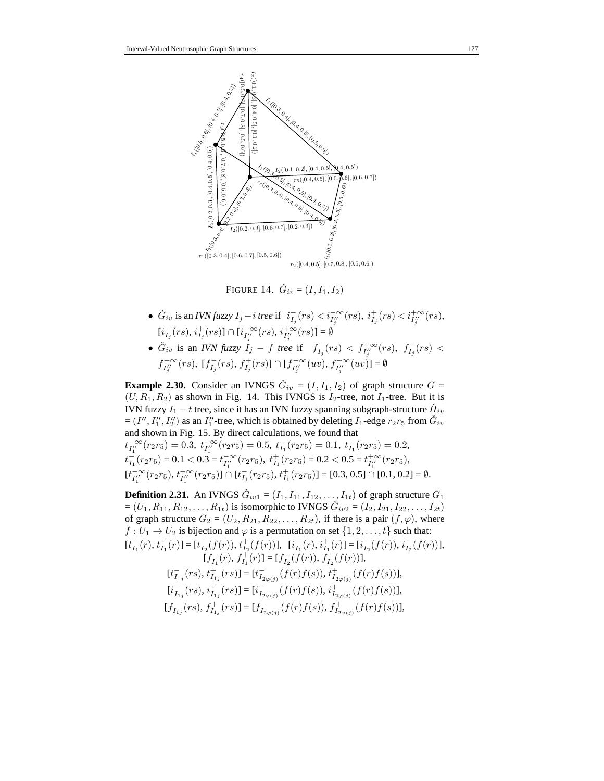

FIGURE 14.  $\check{G}_{iv} = (I, I_1, I_2)$ 

- $\check{G}_{iv}$  is an *IVN fuzzy*  $I_j i$  *tree* if  $i_{I_j}^-(rs) < i_{I''_j}^{-\infty}(rs)$ ,  $i_{I_j}^+(rs) < i_{I''_j}^{+\infty}(rs)$ ,  $[i_{I_j}^-(rs), i_{I_j}^+(rs)] \cap [i_{I''_j}^{-\infty}(rs), i_{I''_j}^{+\infty}(rs)] = \emptyset$
- $\check{G}_{iv}$  is an *IVN* fuzzy  $I_j f$  tree if  $f_{I_j}^-(rs) < f_{I''_j}^{-\infty}(rs)$ ,  $f_{I_j}^+(rs) <$  $f_{I''_j}^{+\infty}(rs)$ ,  $[f_{I_j}^-(rs), f_{I_j}^+(rs)] \cap [f_{I''_j}^{-\infty}(uv), f_{I''_j}^{+\infty}(uv)] = \emptyset$

**Example 2.30.** Consider an IVNGS  $\check{G}_{iv} = (I, I_1, I_2)$  of graph structure  $G =$  $(U, R_1, R_2)$  as shown in Fig. 14. This IVNGS is  $I_2$ -tree, not  $I_1$ -tree. But it is IVN fuzzy  $I_1 - t$  tree, since it has an IVN fuzzy spanning subgraph-structure  $\check{H}_{iv}$  $=(I'', I''_1, I''_2)$  as an  $I''_1$ -tree, which is obtained by deleting  $I_1$ -edge  $r_2r_5$  from  $\tilde{G}_{iv}$ and shown in Fig. 15. By direct calculations, we found that  $t_{I_1''}^{-\infty}(r_2r_5) = 0.3, t_{I_1''}^{+\infty}(r_2r_5) = 0.5, t_{I_1}^{-}(r_2r_5) = 0.1, t_{I_1}^{+}(r_2r_5) = 0.2,$  $t_{I_1}^-(r_2r_5) = 0.1 < 0.3 = t_{I_1''}^{-\infty}(r_2r_5), t_{I_1}^+(r_2r_5) = 0.2 < 0.5 = t_{I_1''}^{+\infty}(r_2r_5),$  $[t_{I_1'}^{-\infty}(r_2r_5), t_{I_1'}^{+\infty}(r_2r_5)] \cap [t_{I_1}^{-}(r_2r_5), t_{I_1}^{+}(r_2r_5)] = [0.3, 0.5] \cap [0.1, 0.2] = \emptyset.$ 

**Definition 2.31.** An IVNGS  $\check{G}_{iv1} = (I_1, I_{11}, I_{12}, \dots, I_{1t})$  of graph structure  $G_1$  $=(U_1, R_{11}, R_{12}, \ldots, R_{1t})$  is isomorphic to IVNGS  $\check{G}_{iv2} = (I_2, I_{21}, I_{22}, \ldots, I_{2t})$ of graph structure  $G_2 = (U_2, R_{21}, R_{22}, \ldots, R_{2t})$ , if there is a pair  $(f, \varphi)$ , where  $f: U_1 \to U_2$  is bijection and  $\varphi$  is a permutation on set  $\{1, 2, \ldots, t\}$  such that:  $[t_{I_1}^-(r),\,t_{I_1}^+(r)] = [t_{I_2}^-(f(r)),\,t_{I_2}^+(f(r))],\ \ [i_{I_1}^-(r),\,i_{I_1}^+(r)] = [i_{I_2}^-(f(r)),\,i_{I_2}^+(f(r))],$  $[f_{I_1}^-(r), f_{I_1}^+(r)] = [f_{I_2}^-(f(r)), f_{I_2}^+(f(r))],$  $[t_{I_{1j}}^-(rs), t_{I_{1j}}^+(rs)] = [t_{I_{2\varphi(j)}}^-(f(r)f(s)), t_{I_{2\varphi(j)}}^+(f(r)f(s))],$  $[i_{I_{1j}}^-(rs), i_{I_{1j}}^+(rs)] = [i_{I_{2\varphi(j)}}^-(f(r)f(s)), i_{I_{2\varphi(j)}}^+(f(r)f(s))],$  $[f_{I_{1j}}^-(rs), f_{I_{1j}}^+(rs)] = [f_{I_{2\varphi(j)}}^-(f(r)f(s)), f_{I_{2\varphi(j)}}^+(f(r)f(s))],$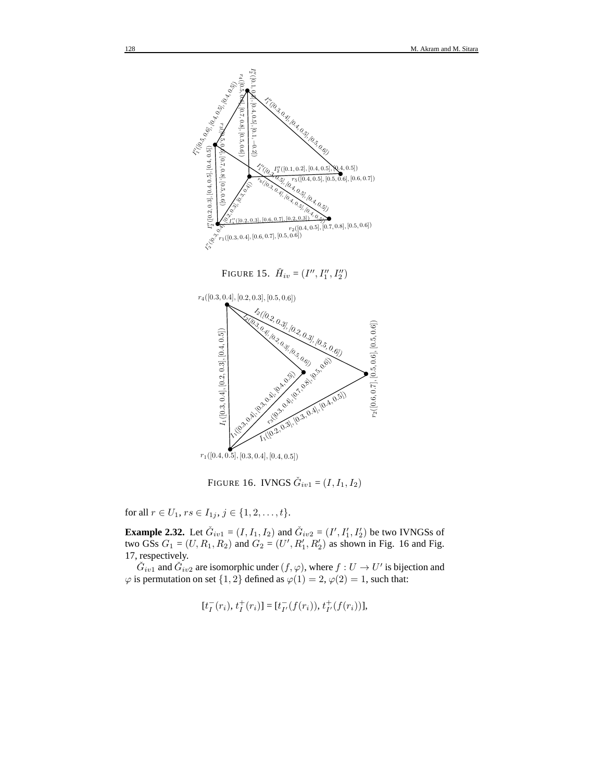

FIGURE 15.  $\check{H}_{iv} = (I'', I''_1, I''_2)$ 



FIGURE 16. IVNGS  $\check{G}_{iv1} = (I, I_1, I_2)$ 

for all  $r \in U_1$ ,  $rs \in I_{1j}$ ,  $j \in \{1, 2, ..., t\}$ .

**Example 2.32.** Let  $\check{G}_{iv1} = (I, I_1, I_2)$  and  $\check{G}_{iv2} = (I', I'_1, I'_2)$  be two IVNGSs of two GSs  $G_1 = (U, R_1, R_2)$  and  $G_2 = (U', R'_1, R'_2)$  as shown in Fig. 16 and Fig. 17, respectively.

 $\check{G}_{iv1}$  and  $\check{G}_{iv2}$  are isomorphic under  $(f, \varphi)$ , where  $f: U \to U'$  is bijection and  $\varphi$  is permutation on set  $\{1,2\}$  defined as  $\varphi(1) = 2$ ,  $\varphi(2) = 1$ , such that:

$$
[t_I^-(r_i), t_I^+(r_i)] = [t_{I'}^-(f(r_i)), t_{I'}^+(f(r_i))],
$$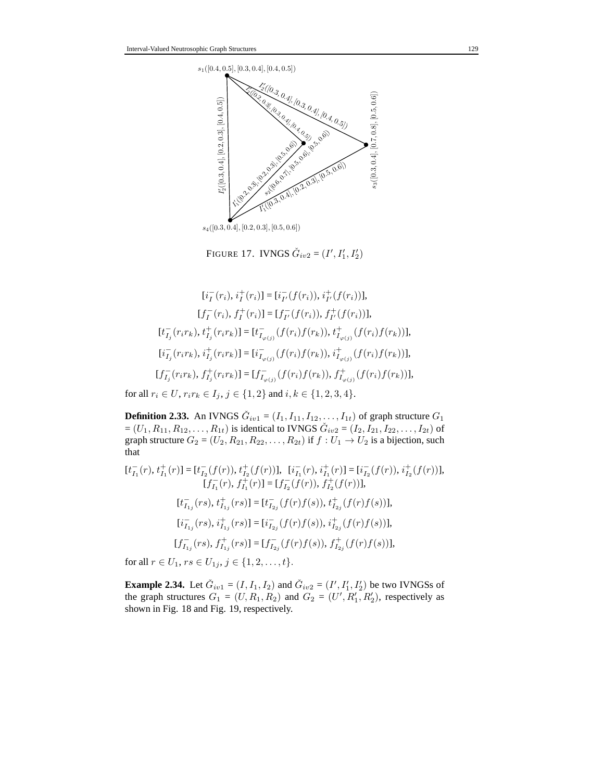

FIGURE 17. IVNGS  $\check{G}_{iv2} = (I', I'_1, I'_2)$ 

 $[i_I^-(r_i), i_I^+(r_i)] = [i_{I'}^-(f(r_i)), i_{I'}^+(f(r_i))],$  $[f_I^-(r_i), f_I^+(r_i)] = [f_{I'}^-(f(r_i)), f_{I'}^+(f(r_i))],$  $[t_{I_j}^-(r_ir_k), t_{I_j}^+(r_ir_k)] = [t_{I_{\varphi(j)}}^-(f(r_i)f(r_k)), t_{I_{\varphi(j)}}^+(f(r_i)f(r_k))],$  $[i_{I_j}^-(r_ir_k), i_{I_j}^+(r_ir_k)] = [i_{I_{\varphi(j)}}^-(f(r_i)f(r_k)), i_{I_{\varphi(j)}}^+(f(r_i)f(r_k))],$  $[f_{I_j}^-(r_ir_k), f_{I_j}^+(r_ir_k)] = [f_{I_{\varphi(j)}}^-(f(r_i)f(r_k)), f_{I_{\varphi(j)}}^+(f(r_i)f(r_k))],$ 

for all  $r_i \in U$ ,  $r_i r_k \in I_j$ ,  $j \in \{1, 2\}$  and  $i, k \in \{1, 2, 3, 4\}$ .

**Definition 2.33.** An IVNGS  $\check{G}_{iv1} = (I_1, I_{11}, I_{12}, \dots, I_{1t})$  of graph structure  $G_1$  $=(U_1, R_{11}, R_{12}, \ldots, R_{1t})$  is identical to IVNGS  $\check{G}_{iv2} = (I_2, I_{21}, I_{22}, \ldots, I_{2t})$  of graph structure  $G_2 = (U_2, R_{21}, R_{22}, \ldots, R_{2t})$  if  $f : U_1 \rightarrow U_2$  is a bijection, such that

$$
[t_{I_1}^-(r), t_{I_1}^+(r)] = [t_{I_2}^-(f(r)), t_{I_2}^+(f(r))], [i_{I_1}^-(r), i_{I_1}^+(r)] = [i_{I_2}^-(f(r)), i_{I_2}^+(f(r))],
$$
  
\n
$$
[f_{I_1}^-(r), f_{I_1}^+(r)] = [f_{I_2}^-(f(r)), f_{I_2}^+(f(r))],
$$
  
\n
$$
[t_{I_{1j}}^-(rs), t_{I_{1j}}^+(rs)] = [t_{I_{2j}}^-(f(r)f(s)), t_{I_{2j}}^+(f(r)f(s))],
$$
  
\n
$$
[i_{I_{1j}}^-(rs), i_{I_{1j}}^+(rs)] = [i_{I_{2j}}^-(f(r)f(s)), i_{I_{2j}}^+(f(r)f(s))],
$$
  
\n
$$
[f_{I_{1j}}^-(rs), f_{I_{1j}}^+(rs)] = [f_{I_{2j}}^-(f(r)f(s)), f_{I_{2j}}^+(f(r)f(s))],
$$

for all  $r \in U_1, rs \in U_{1j}, j \in \{1, 2, ..., t\}.$ 

**Example 2.34.** Let  $\check{G}_{iv1} = (I, I_1, I_2)$  and  $\check{G}_{iv2} = (I', I'_1, I'_2)$  be two IVNGSs of the graph structures  $G_1 = (U, R_1, R_2)$  and  $G_2 = (U', R'_1, R'_2)$ , respectively as shown in Fig. 18 and Fig. 19, respectively.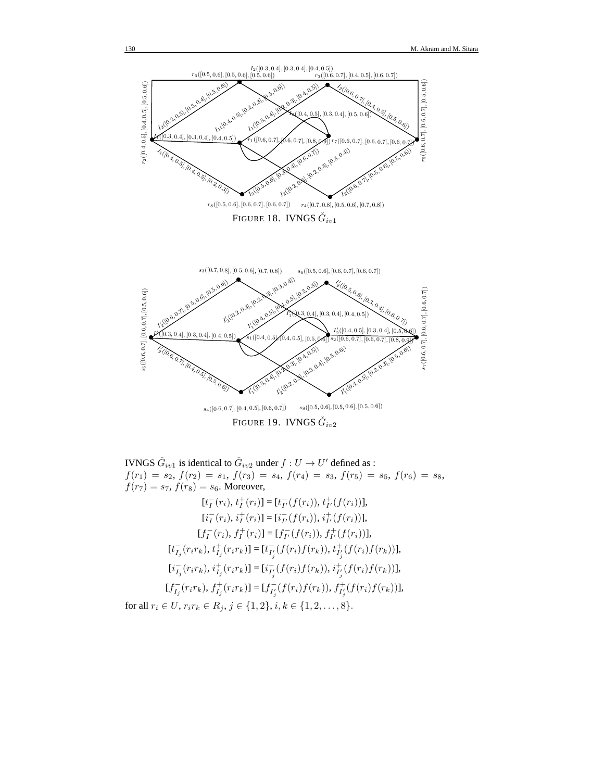



IVNGS  $\check{G}_{iv1}$  is identical to  $\check{G}_{iv2}$  under  $f: U \to U'$  defined as :  $f(r_1) = s_2, f(r_2) = s_1, f(r_3) = s_4, f(r_4) = s_3, f(r_5) = s_5, f(r_6) = s_8,$  $f(r_7) = s_7, f(r_8) = s_6$ . Moreover,

$$
[t_I^-(r_i), t_I^+(r_i)] = [t_{I'}^-(f(r_i)), t_{I'}^+(f(r_i))],
$$
  
\n
$$
[i_I^-(r_i), i_I^+(r_i)] = [i_{I'}^-(f(r_i)), i_{I'}^+(f(r_i))],
$$
  
\n
$$
[f_I^-(r_i), f_I^+(r_i)] = [f_{I'}^-(f(r_i)), f_{I'}^+(f(r_i))],
$$
  
\n
$$
[t_{I_j}^-(r_i r_k), t_{I_j}^+(r_i r_k)] = [t_{I'_j}^-(f(r_i)f(r_k)), t_{I'_j}^+(f(r_i)f(r_k))],
$$
  
\n
$$
[i_{I_j}^-(r_i r_k), i_{I_j}^+(r_i r_k)] = [i_{I'_j}^-(f(r_i)f(r_k)), i_{I'_j}^+(f(r_i)f(r_k))],
$$
  
\n
$$
[f_{I_j}^-(r_i r_k), f_{I_j}^+(r_i r_k)] = [f_{I'_j}^-(f(r_i)f(r_k)), f_{I'_j}^+(f(r_i)f(r_k))],
$$
  
\nfor all  $r_i \in U, r_i r_k \in R_j, j \in \{1, 2\}, i, k \in \{1, 2, ..., 8\}.$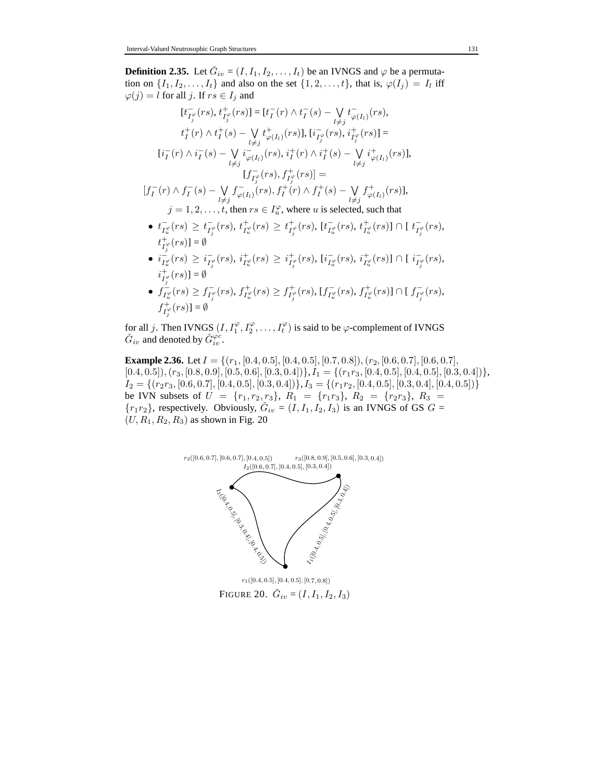**Definition 2.35.** Let  $\check{G}_{iv} = (I, I_1, I_2, \dots, I_t)$  be an IVNGS and  $\varphi$  be a permutation on  $\{I_1, I_2, \ldots, I_t\}$  and also on the set  $\{1, 2, \ldots, t\}$ , that is,  $\varphi(I_j) = I_l$  iff  $\varphi(j) = l$  for all j. If  $rs \in I_j$  and

$$
[t_{I_j^{\varphi}}^-(rs), t_{I_j^{\varphi}}^+(rs)] = [t_I^-(r) \wedge t_I^-(s) - \bigvee_{l \neq j} t_{\varphi(I_l)}^-(rs),
$$
  
\n
$$
t_I^+(r) \wedge t_I^+(s) - \bigvee_{l \neq j} t_{\varphi(I_l)}^+(rs)], [i_{I_j^{\varphi}}^-(rs), i_{I_j^{\varphi}}^+(rs)] =
$$
  
\n
$$
[i_I^-(r) \wedge i_I^-(s) - \bigvee_{l \neq j} i_{\varphi(I_l)}^-(rs), i_I^+(r) \wedge i_I^+(s) - \bigvee_{l \neq j} i_{\varphi(I_l)}^+(rs)],
$$
  
\n
$$
[f_{I_j^{\varphi}}^-(rs), f_{I_j^{\varphi}}^+(rs)] =
$$
  
\n
$$
[f_I^-(r) \wedge f_I^-(s) - \bigvee_{l \neq j} f_{\varphi(I_l)}^-(rs), f_I^+(r) \wedge f_I^+(s) - \bigvee_{l \neq j} f_{\varphi(I_l)}^+(rs)],
$$
  
\n
$$
j = 1, 2, \dots, t, \text{ then } rs \in I_u^{\varphi}, \text{ where } u \text{ is selected, such that}
$$
  
\n•  $t_{I_u^{\varphi}}^-(rs) \geq t_{I_j^{\varphi}}^-(rs), t_{I_u^{\varphi}}^+(rs) \geq t_{I_j^{\varphi}}^+(rs), [t_{I_u^{\varphi}}^-(rs), t_{I_u^{\varphi}}^+(rs)] \cap [t_{I_j^{\varphi}}^-(rs),$ 

- $t_{I_j^\varphi}^+(rs)] = \emptyset$  $\bullet$   $i_{\tau}^ \frac{1}{I_u^\varphi}(rs) \, \geq \, i_{I_3^\varphi}$  $\frac{1}{I_j^\varphi}(rs), \, i_{I_u^\varphi}^+(rs) \, \geq \, i_{I_j^\varphi}^+(rs), \, [i_{I_u^\varphi}^ \frac{1}{I_u^{\varphi}}(rs), \, i_{I_u^{\varphi}}^+(rs)] \cap [\, i_{I_u^{\varphi}}^ _{I_{j}^{\varphi}}^-(rs),$
- $i_{I_j^\varphi}^+(rs)] = \emptyset$ ●  $f_{I_u^{\varphi}}^-(rs) \geq f_{I_j^{\varphi}}^-(rs), f_{I_u^{\varphi}}^+(rs) \geq f_{I_j^{\varphi}}^+(rs), [f_{I_u^{\varphi}}^-(rs), f_{I_u^{\varphi}}^+(rs)] \cap [f_{I_j^{\varphi}}^-(rs),$  $f_{I_j^\varphi}^+(rs)] = \emptyset$ +

for all j. Then IVNGS  $(I, I_1^{\varphi}, I_2^{\varphi}, \ldots, I_t^{\varphi})$  is said to be  $\varphi$ -complement of IVNGS  $\check{G}_{iv}$  and denoted by  $\check{G}_{iv}^{\varphi c}$ .

**Example 2.36.** Let  $I = \{(r_1, [0.4, 0.5], [0.4, 0.5], [0.7, 0.8]), (r_2, [0.6, 0.7], [0.6, 0.7],$  $[0.4, 0.5]$ ,  $(r_3, [0.8, 0.9], [0.5, 0.6], [0.3, 0.4])$ ,  $I_1 = \{(r_1r_3, [0.4, 0.5], [0.4, 0.5], [0.3, 0.4])\}$ ,  $I_2 = \{(r_2r_3, [0.6, 0.7], [0.4, 0.5], [0.3, 0.4])\}, I_3 = \{(r_1r_2, [0.4, 0.5], [0.3, 0.4], [0.4, 0.5])\}$ be IVN subsets of  $U = \{r_1, r_2, r_3\}, R_1 = \{r_1r_3\}, R_2 = \{r_2r_3\}, R_3 =$  $\{r_1r_2\}$ , respectively. Obviously,  $\check{G}_{iv} = (I, I_1, I_2, I_3)$  is an IVNGS of GS  $G =$  $(U, R_1, R_2, R_3)$  as shown in Fig. 20



FIGURE 20.  $\check{G}_{iv} = (I, I_1, I_2, I_3)$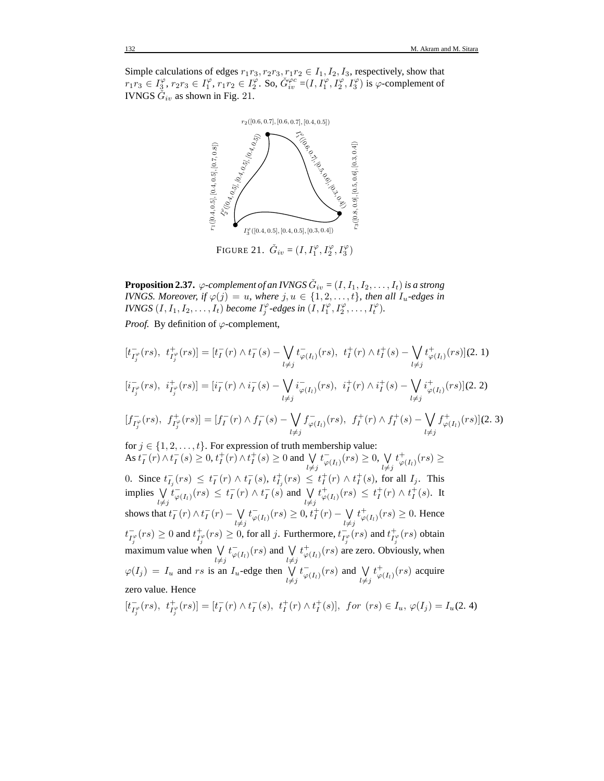Simple calculations of edges  $r_1r_3, r_2r_3, r_1r_2 \in I_1, I_2, I_3$ , respectively, show that  $r_1r_3 \in I_3^{\varphi}, r_2r_3 \in I_1^{\varphi}, r_1r_2 \in I_2^{\varphi}$ . So,  $\check{G}_{iv}^{\varphi c} = (I, I_1^{\varphi}, I_2^{\varphi}, I_3^{\varphi})$  is  $\varphi$ -complement of IVNGS  $\check{G}_{iv}$  as shown in Fig. 21.



FIGURE 21.  $\check{G}_{iv} = (I, I_1^{\varphi}, I_2^{\varphi}, I_3^{\varphi})$ 

**Proposition 2.37.**  $\varphi$ -complement of an IVNGS  $\check{G}_{iv} = (I, I_1, I_2, \ldots, I_t)$  is a strong *IVNGS. Moreover, if*  $\varphi(j) = u$ *, where*  $j, u \in \{1, 2, \ldots, t\}$ *, then all*  $I_u$ -edges in *IVNGS*  $(I, I_1, I_2, \ldots, I_t)$  *become*  $I_j^{\varphi}$ -edges in  $(I, I_1^{\varphi}, I_2^{\varphi}, \ldots, I_t^{\varphi})$ *.* 

*Proof.* By definition of  $\varphi$ -complement,

$$
[t_{I_{j}^{\varphi}}^{-(rs)}, t_{I_{j}^{\varphi}}^{+}(rs)] = [t_{I}^{\tau}(r) \wedge t_{I}^{\tau}(s) - \bigvee_{l \neq j} t_{\varphi(I_{l})}^{\tau}(rs), t_{I}^{+}(r) \wedge t_{I}^{+}(s) - \bigvee_{l \neq j} t_{\varphi(I_{l})}^{\tau}(rs)](2.1)
$$
  
\n
$$
[i_{I_{j}^{\varphi}}^{-(rs)}, i_{I_{j}^{\varphi}}^{+}(rs)] = [i_{I}^{\tau}(r) \wedge i_{I}^{\tau}(s) - \bigvee_{l \neq j} i_{\varphi(I_{l})}^{\tau}(rs), i_{I}^{+}(r) \wedge i_{I}^{+}(s) - \bigvee_{l \neq j} t_{\varphi(I_{l})}^{\tau}(rs)](2.2)
$$
  
\n
$$
[f_{I_{j}^{\varphi}}^{-(rs)}, f_{I_{j}^{\varphi}}^{+}(rs)] = [f_{I}^{\tau}(r) \wedge f_{I}^{\tau}(s) - \bigvee_{l \neq j} f_{\varphi(I_{l})}^{\tau}(rs), f_{I}^{+}(r) \wedge f_{I}^{+}(s) - \bigvee_{l \neq j} f_{\varphi(I_{l})}^{+}(rs)](2.3)
$$
  
\nfor  $j \in \{1, 2, ..., t\}$ . For expression of truth membership value:  
\nAs  $t_{I}^{\tau}(r) \wedge t_{I}^{\tau}(s) \geq 0, t_{I}^{+}(r) \wedge t_{I}^{+}(s) \geq 0$  and  $\bigvee_{l \neq j} t_{\varphi(I_{l})}^{\tau}(rs) \geq 0, \bigvee_{l \neq j} t_{\varphi(I_{l})}^{\tau}(rs) \geq 0$ .  
\nSince  $t_{I_{j}}^{\tau}(rs) \leq t_{I}^{\tau}(r) \wedge t_{I}^{\tau}(s), t_{I_{j}}^{\tau}(rs) \leq t_{I}^{+}(r) \wedge t_{I}^{+}(s)$ , for all  $I_{j}$ . This implies  
\n
$$
\bigvee_{l \neq j} t_{\varphi(I_{l})}^{\tau}(rs) \leq t_{I}^{\tau}(r) \wedge t_{I}^{\tau}(s
$$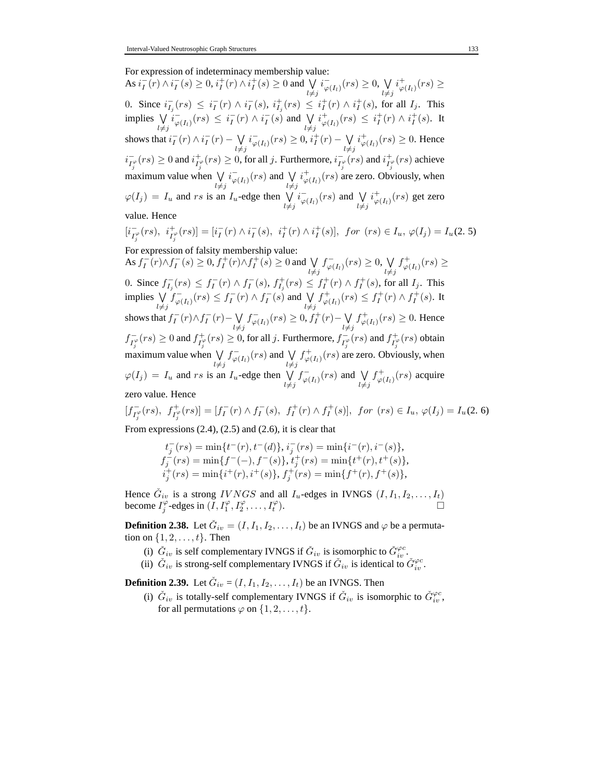For expression of indeterminacy membership value:

As  $i_I^-(r) \wedge i_I^-(s) \ge 0$ ,  $i_I^+(r) \wedge i_I^+(s) \ge 0$  and  $\bigvee$  $l\neq j$  $i_{\varphi(I_1)}^-(rs) \geq 0, \bigvee_i$  $l\neq j$  $i^+_{\varphi(I_l)}(rs) \geq$ 0. Since  $i_{I_j}^-(rs) \leq i_I^-(r) \wedge i_I^-(s)$ ,  $i_{I_j}^+(rs) \leq i_I^+(r) \wedge i_I^+(s)$ , for all  $I_j$ . This implies W  $l\neq j$  $\overline{i}_{\varphi(I_l)}(rs) \leq i_I^-(r) \wedge i_I^-(s)$  and  $\bigvee$  $l\neq j$  $i^+_{\varphi(I_l)}(rs) \leq i^+_I(r) \wedge i^+_I(s)$ . It shows that  $i_I^-(r) \wedge i_I^-(r) - \bigvee$  $l\neq j$  $i_{\varphi(I_l)}^-(rs) \geq 0, i_l^+(r) - \bigvee_l$  $l\neq j$  $i^+_{\varphi(I_l)}(rs) \geq 0$ . Hence  $i_{I_j^{\varphi}}(rs) \ge 0$  and  $i_{I_j^{\varphi}}^+(rs) \ge 0$ , for all j. Furthermore,  $i_{I_j^{\varphi}}^-(rs)$  and  $i_{I_j^{\varphi}}^+(rs)$  achieve maximum value when  $\sqrt{}$  $l\neq j$  $i_{\varphi(I_l)}^-(rs)$  and  $\bigvee_l$  $l\neq j$  $i^+_{\varphi(I_l)}(rs)$  are zero. Obviously, when  $\varphi(I_j) = I_u$  and rs is an  $I_u$ -edge then  $\bigvee_{l \neq j}$  $i_{\varphi(I_l)}^-(rs)$  and  $\bigvee_l$  $l\neq j$  $i^+_{\varphi(I_l)}(rs)$  get zero value. Hence  $[i]_I^ \bar{I}_{I_j^{\varphi}}^{\bar{I}_{\varphi}}(rs), \, i_{I_j^{\varphi}}^+(rs)]= [i_I^-(r) \wedge i_I^-(s), \, i_I^+(r) \wedge i_I^+(s)], \, \text{ for } \, (rs) \in I_u, \, \varphi(I_j)=I_u(2,5)$ For expression of falsity membership value: As  $f_I^-(r) \wedge f_I^-(s) \ge 0$ ,  $f_I^+(r) \wedge f_I^+(s) \ge 0$  and  $\bigvee$  $l\neq j$  $f_{\varphi(I_l)}^-(rs) \geq 0, \bigvee_l$  $l\neq j$  $f^+_{\varphi(I_l)}(rs) \geq$ 0. Since  $f_{I_j}^-(rs) \leq f_I^-(r) \wedge f_I^-(s)$ ,  $f_{I_j}^+(rs) \leq f_I^+(r) \wedge f_I^+(s)$ , for all  $I_j$ . This implies W  $l\neq j$  $f_{\varphi(I_l)}^-(rs) \leq f_I^-(r) \wedge f_I^-(s)$  and  $\bigvee$  $l\neq j$  $f^+_{\varphi(I_l)}(rs) \leq f^+_I(r) \wedge f^+_I(s)$ . It shows that  $f_I^-(r) \wedge f_I^-(r) - \bigvee$  $l\neq j$  $f_{\varphi(I_l)}^-(rs) \geq 0, f_I^+(r) - \bigvee_{l}$  $l\neq j$  $f^+_{\varphi(I_l)}(rs) \geq 0$ . Hence

 $f_{I_j^{\varphi}}(rs) \ge 0$  and  $f_{I_j^{\varphi}}^+(rs) \ge 0$ , for all j. Furthermore,  $f_{I_j^{\varphi}}^-(rs)$  and  $f_{I_j^{\varphi}}^+(rs)$  obtain maximum value when  $\sqrt{}$  $l\neq j$  $f_{\varphi(I_1)}^-(rs)$  and  $\bigvee$  $l\neq j$  $f^+_{\varphi(I_l)}(rs)$  are zero. Obviously, when  $\varphi(I_j) = I_u$  and rs is an  $I_u$ -edge then  $\bigvee_{l \neq j}$  $f_{\varphi(I_1)}^-(rs)$  and  $\bigvee$  $_{l\neq j}$  $f^+_{\varphi(I_l)}(rs)$  acquire

zero value. Hence

$$
[f_{I_f^{\varphi}}^-(rs), f_{I_f^{\varphi}}^+(rs)] = [f_I^-(r) \wedge f_I^-(s), f_I^+(r) \wedge f_I^+(s)], \text{ for } (rs) \in I_u, \varphi(I_j) = I_u(2, 6)
$$
  
From expressing (2.4), (2.5) and (2.6), it is clear that

From expressions  $(2.4)$ ,  $(2.5)$  and  $(2.6)$ , it is clear that

$$
\begin{array}{l} t_j^-(rs)=\min\{t^-(r),t^-(d)\},\, i_j^-(rs)=\min\{i^-(r),i^-(s)\},\\ f_j^-(rs)=\min\{f^-(-),f^-(s)\},\, t_j^+(rs)=\min\{t^+(r),t^+(s)\},\\ i_j^+(rs)=\min\{i^+(r),i^+(s)\},\, f_j^+(rs)=\min\{f^+(r),f^+(s)\}, \end{array}
$$

Hence  $\check{G}_{iv}$  is a strong  $IVNGS$  and all  $I_u$ -edges in IVNGS  $(I, I_1, I_2, \ldots, I_t)$ become  $I_j^{\varphi}$ -edges in  $(\tilde{I}, I_1^{\varphi}, I_2^{\varphi}, \dots, I_t^{\varphi})$ ).  $\Box$ 

**Definition 2.38.** Let  $\check{G}_{iv} = (I, I_1, I_2, \dots, I_t)$  be an IVNGS and  $\varphi$  be a permutation on  $\{1, 2, \ldots, t\}$ . Then

- (i)  $\check{G}_{iv}$  is self complementary IVNGS if  $\check{G}_{iv}$  is isomorphic to  $\check{G}_{iv}^{\varphi c}$ .
- (ii)  $\check{G}_{iv}$  is strong-self complementary IVNGS if  $\check{G}_{iv}$  is identical to  $\check{G}_{iv}^{\varphi c}$ .

**Definition 2.39.** Let  $\check{G}_{iv} = (I, I_1, I_2, \dots, I_t)$  be an IVNGS. Then

(i)  $\check{G}_{iv}$  is totally-self complementary IVNGS if  $\check{G}_{iv}$  is isomorphic to  $\check{G}_{iv}^{\varphi c}$ , for all permutations  $\varphi$  on  $\{1, 2, \ldots, t\}$ .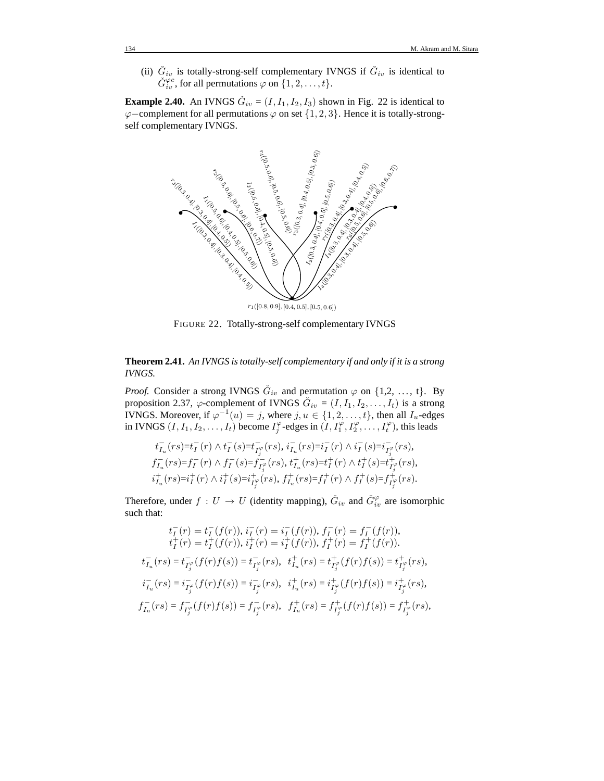(ii)  $\check{G}_{iv}$  is totally-strong-self complementary IVNGS if  $\check{G}_{iv}$  is identical to  $\check{G}^{\varphi c}_{iv}$ , for all permutations  $\varphi$  on  $\{1, 2, ..., t\}$ .

**Example 2.40.** An IVNGS  $\check{G}_{iv} = (I, I_1, I_2, I_3)$  shown in Fig. 22 is identical to  $\varphi$ −complement for all permutations  $\varphi$  on set {1, 2, 3}. Hence it is totally-strongself complementary IVNGS.



FIGURE 22. Totally-strong-self complementary IVNGS

**Theorem 2.41.** *An IVNGS is totally-self complementary if and only if it is a strong IVNGS.*

*Proof.* Consider a strong IVNGS  $\check{G}_{iv}$  and permutation  $\varphi$  on  $\{1,2, \ldots, t\}$ . By proposition 2.37,  $\varphi$ -complement of IVNGS  $\check{G}_{iv} = (I, I_1, I_2, \ldots, I_t)$  is a strong IVNGS. Moreover, if  $\varphi^{-1}(u) = j$ , where  $j, u \in \{1, 2, ..., t\}$ , then all  $I_u$ -edges in IVNGS  $(I, I_1, I_2, \ldots, I_t)$  become  $I_j^{\varphi}$ -edges in  $(I, I_1^{\varphi}, I_2^{\varphi}, \ldots, I_t^{\varphi})$ , this leads

$$
\begin{array}{l} \label{eq:2} {t}^{-}_{I_u}(rs){=}t^-_I(r)\wedge t^-_I(s){=}t^-_{I^{\varphi}_j}(rs),\,i^-_{I_u}(rs){=}i^-_I(r)\wedge i^-_I(s){=}i^-_{I^{\varphi}_j}(rs),\\[2mm] f^{-}_{I_u}(rs){=}f^-_I(r)\wedge f^-_I(s){=}f^-_{I^{\varphi}_j}(rs),\,t^+_{I_u}(rs){=}t^+_I(r)\wedge t^+_I(s){=}t^+_{I^{\varphi}_j}(rs),\\[2mm] i^+_{I_u}(rs){=}i^+_I(r)\wedge i^+_I(s){=}i^+_{I^{\varphi}_j}(rs),\,f^+_{I_u}(rs){=}f^+_I(r)\wedge f^+_I(s){=}f^+_{I^{\varphi}_j}(rs). \end{array}
$$

Therefore, under  $f: U \to U$  (identity mapping),  $\check{G}_{iv}$  and  $\check{G}_{iv}^{\varphi}$  are isomorphic such that:

$$
t_I^-(r) = t_I^-(f(r)), \, i_I^-(r) = i_I^-(f(r)), \, f_I^-(r) = f_I^-(f(r)),
$$
\n
$$
t_I^+(r) = t_I^+(f(r)), \, i_I^+(r) = i_I^+(f(r)), \, f_I^+(r) = f_I^+(f(r)).
$$
\n
$$
t_{I_u}^-(rs) = t_{I_j^{\varphi}}^-(f(r)f(s)) = t_{I_j^{\varphi}}^-(rs), \, t_{I_u}^+(rs) = t_{I_j^{\varphi}}^+(f(r)f(s)) = t_{I_j^{\varphi}}^+(rs),
$$
\n
$$
i_{I_u}^-(rs) = i_{I_j^{\varphi}}^-(f(r)f(s)) = i_{I_j^{\varphi}}^-(rs), \, i_{I_u}^+(rs) = i_{I_j^{\varphi}}^+(f(r)f(s)) = i_{I_j^{\varphi}}^+(rs),
$$
\n
$$
f_{I_u}^-(rs) = f_{I_j^{\varphi}}^-(f(r)f(s)) = f_{I_j^{\varphi}}^-(rs), \, f_{I_u}^+(rs) = f_{I_j^{\varphi}}^+(f(r)f(s)) = f_{I_j^{\varphi}}^+(rs),
$$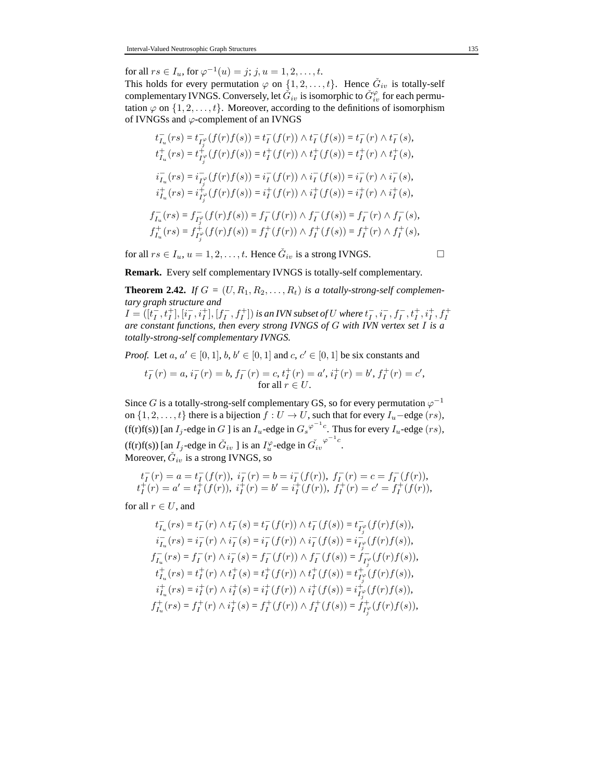for all  $rs \in I_u$ , for  $\varphi^{-1}(u) = j$ ;  $j, u = 1, 2, ..., t$ .

This holds for every permutation  $\varphi$  on  $\{1, 2, \ldots, t\}$ . Hence  $\check{G}_{iv}$  is totally-self complementary IVNGS. Conversely, let  $\check{G}_{iv}$  is isomorphic to  $\check{G}_{iv}^{\varphi}$  for each permutation  $\varphi$  on  $\{1, 2, \ldots, t\}$ . Moreover, according to the definitions of isomorphism of IVNGSs and  $\varphi$ -complement of an IVNGS

$$
t_{I_u}^-(rs) = t_{I_j^{\circ}}^-(f(r)f(s)) = t_I^-(f(r)) \wedge t_I^-(f(s)) = t_I^-(r) \wedge t_I^-(s),
$$
  
\n
$$
t_{I_u}^+(rs) = t_{I_j^{\circ}}^+(f(r)f(s)) = t_I^+(f(r)) \wedge t_I^+(f(s)) = t_I^+(r) \wedge t_I^+(s),
$$
  
\n
$$
i_{I_u}^-(rs) = i_{I_j^{\circ}}^-(f(r)f(s)) = i_I^-(f(r)) \wedge i_I^-(f(s)) = i_I^-(r) \wedge i_I^-(s),
$$
  
\n
$$
i_{I_u}^+(rs) = i_{I_j^{\circ}}^+(f(r)f(s)) = i_I^+(f(r)) \wedge i_I^+(f(s)) = i_I^+(r) \wedge i_I^+(s),
$$
  
\n
$$
f_{I_u}^-(rs) = f_{I_j^{\circ}}^-(f(r)f(s)) = f_I^-(f(r)) \wedge f_I^-(f(s)) = f_I^-(r) \wedge f_I^-(s),
$$
  
\n
$$
f_{I_u}^+(rs) = f_{I_j^{\circ}}^+(f(r)f(s)) = f_I^+(f(r)) \wedge f_I^+(f(s)) = f_I^+(r) \wedge f_I^+(s),
$$

for all  $rs \in I_u$ ,  $u = 1, 2, ..., t$ . Hence  $\check{G}_{iv}$  is a strong IVNGS.

**Remark.** Every self complementary IVNGS is totally-self complementary.

**Theorem 2.42.** *If*  $G = (U, R_1, R_2, \ldots, R_t)$  *is a totally-strong-self complementary graph structure and*

 $I = ([t_I^-, t_I^+], [i_I^-, i_I^+], [f_I^-, f_I^+])$  is an IVN subset of U where  $t_I^-, i_I^-, f_I^-, t_I^+, i_I^+, f_I^+$ *are constant functions, then every strong IVNGS of* G *with IVN vertex set* I *is a totally-strong-self complementary IVNGS.*

*Proof.* Let  $a, a' \in [0, 1], b, b' \in [0, 1]$  and  $c, c' \in [0, 1]$  be six constants and

$$
t_I^-(r) = a, i_I^-(r) = b, f_I^-(r) = c, t_I^+(r) = a', i_I^+(r) = b', f_I^+(r) = c',
$$
  
for all  $r \in U$ .

Since G is a totally-strong-self complementary GS, so for every permutation  $\varphi^{-1}$ on  $\{1, 2, \ldots, t\}$  there is a bijection  $f : U \to U$ , such that for every  $I_u$ -edge  $(rs)$ , (f(r)f(s)) [an  $I_j$ -edge in G ] is an  $I_u$ -edge in  $G_s \varphi^{-1}$ <sup>c</sup>. Thus for every  $I_u$ -edge  $(rs)$ , (f(r)f(s)) [an  $I_j$ -edge in  $\check{G}_{iv}$  ] is an  $I_u^{\varphi}$ -edge in  $\check{G}_{iv}^{\varphi^{-1}c}$ . Moreover,  $\check{G}_{iv}$  is a strong IVNGS, so

$$
\begin{array}{l} t_I^-(r) = a = t_I^-(f(r)), \; i_I^-(r) = b = i_I^-(f(r)), \; f_I^-(r) = c = f_I^-(f(r)),\\ t_I^+(r) = a' = t_I^+(f(r)), \; i_I^+(r) = b' = i_I^+(f(r)), \; f_I^+(r) = c' = f_I^+(f(r)), \end{array}
$$

for all  $r \in U$ , and

$$
t_{I_u}^-(rs) = t_I^-(r) \wedge t_I^-(s) = t_I^-(f(r)) \wedge t_I^-(f(s)) = t_{I_j^{\circ}}^-(f(r)f(s)),
$$
  
\n
$$
i_{I_u}^-(rs) = i_I^-(r) \wedge i_I^-(s) = i_I^-(f(r)) \wedge i_I^-(f(s)) = i_{I_j^{\circ}}^-(f(r)f(s)),
$$
  
\n
$$
f_{I_u}^-(rs) = f_I^-(r) \wedge i_I^-(s) = f_I^-(f(r)) \wedge f_I^-(f(s)) = f_{I_j^{\circ}}^-(f(r)f(s)),
$$
  
\n
$$
t_{I_u}^+(rs) = t_I^+(r) \wedge t_I^+(s) = t_I^+(f(r)) \wedge t_I^+(f(s)) = t_{I_j^{\circ}}^+(f(r)f(s)),
$$
  
\n
$$
i_{I_u}^+(rs) = i_I^+(r) \wedge i_I^+(s) = i_I^+(f(r)) \wedge i_I^+(f(s)) = i_{I_j^{\circ}}^+(f(r)f(s)),
$$
  
\n
$$
f_{I_u}^+(rs) = f_I^+(r) \wedge i_I^+(s) = f_I^+(f(r)) \wedge f_I^+(f(s)) = f_{I_j^{\circ}}^+(f(r)f(s)),
$$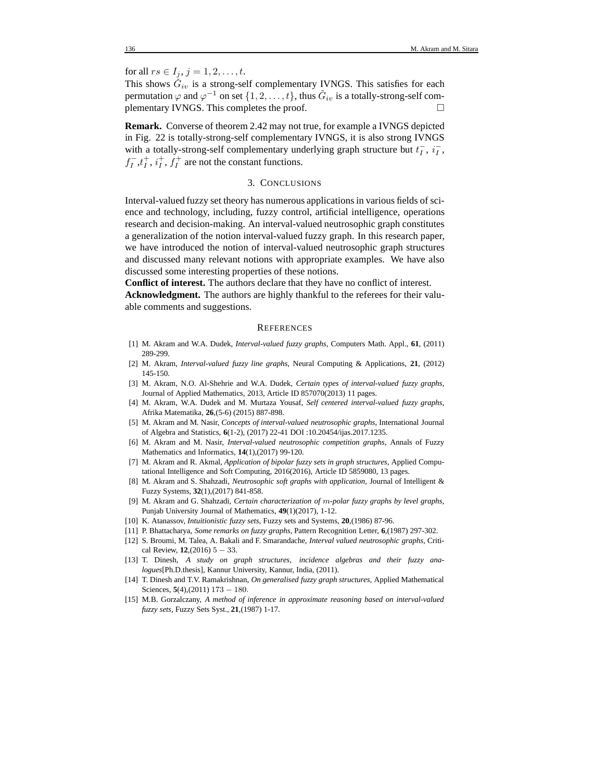for all  $rs \in I_i$ ,  $j = 1, 2, ..., t$ .

This shows  $\check{G}_{iv}$  is a strong-self complementary IVNGS. This satisfies for each permutation  $\varphi$  and  $\varphi^{-1}$  on set  $\{1, 2, \ldots, t\}$ , thus  $\check{G}_{iv}$  is a totally-strong-self complementary IVNGS. This completes the proof.

**Remark.** Converse of theorem 2.42 may not true, for example a IVNGS depicted in Fig. 22 is totally-strong-self complementary IVNGS, it is also strong IVNGS with a totally-strong-self complementary underlying graph structure but  $t_I^-$ ,  $i_I^-$ ,  $f_I^-, t_I^+, i_I^+, f_I^+$  are not the constant functions.

### 3. CONCLUSIONS

Interval-valued fuzzy set theory has numerous applications in various fields of science and technology, including, fuzzy control, artificial intelligence, operations research and decision-making. An interval-valued neutrosophic graph constitutes a generalization of the notion interval-valued fuzzy graph. In this research paper, we have introduced the notion of interval-valued neutrosophic graph structures and discussed many relevant notions with appropriate examples. We have also discussed some interesting properties of these notions.

**Conflict of interest.** The authors declare that they have no conflict of interest.

**Acknowledgment.** The authors are highly thankful to the referees for their valuable comments and suggestions.

### **REFERENCES**

- [1] M. Akram and W.A. Dudek, *Interval-valued fuzzy graphs*, Computers Math. Appl., **61**, (2011) 289-299.
- [2] M. Akram, *Interval-valued fuzzy line graphs*, Neural Computing & Applications, **21**, (2012) 145-150.
- [3] M. Akram, N.O. Al-Shehrie and W.A. Dudek, *Certain types of interval-valued fuzzy graphs*, Journal of Applied Mathematics, 2013, Article ID 857070(2013) 11 pages.
- [4] M. Akram, W.A. Dudek and M. Murtaza Yousaf, *Self centered interval-valued fuzzy graphs*, Afrika Matematika, **26**,(5-6) (2015) 887-898.
- [5] M. Akram and M. Nasir, *Concepts of interval-valued neutrosophic graphs*, International Journal of Algebra and Statistics, **6**(1-2), (2017) 22-41 DOI :10.20454/ijas.2017.1235.
- [6] M. Akram and M. Nasir, *Interval-valued neutrosophic competition graphs*, Annals of Fuzzy Mathematics and Informatics, **14**(1),(2017) 99-120.
- [7] M. Akram and R. Akmal, *Application of bipolar fuzzy sets in graph structures*, Applied Computational Intelligence and Soft Computing, 2016(2016), Article ID 5859080, 13 pages.
- [8] M. Akram and S. Shahzadi, *Neutrosophic soft graphs with application*, Journal of Intelligent & Fuzzy Systems, **32**(1),(2017) 841-858.
- [9] M. Akram and G. Shahzadi, *Certain characterization of* m*-polar fuzzy graphs by level graphs*, Punjab University Journal of Mathematics, **49**(1)(2017), 1-12.
- [10] K. Atanassov, *Intuitionistic fuzzy sets*, Fuzzy sets and Systems, **20**,(1986) 87-96.
- [11] P. Bhattacharya, *Some remarks on fuzzy graphs*, Pattern Recognition Letter, **6**,(1987) 297-302.
- [12] S. Broumi, M. Talea, A. Bakali and F. Smarandache, *Interval valued neutrosophic graphs*, Critical Review, **12**,(2016) 5 − 33.
- [13] T. Dinesh, *A study on graph structures, incidence algebras and their fuzzy analogues*[Ph.D.thesis], Kannur University, Kannur, India, (2011).
- [14] T. Dinesh and T.V. Ramakrishnan, *On generalised fuzzy graph structures*, Applied Mathematical Sciences, **5**(4),(2011) 173 − 180.
- [15] M.B. Gorzalczany, *A method of inference in approximate reasoning based on interval-valued fuzzy sets*, Fuzzy Sets Syst., **21**,(1987) 1-17.